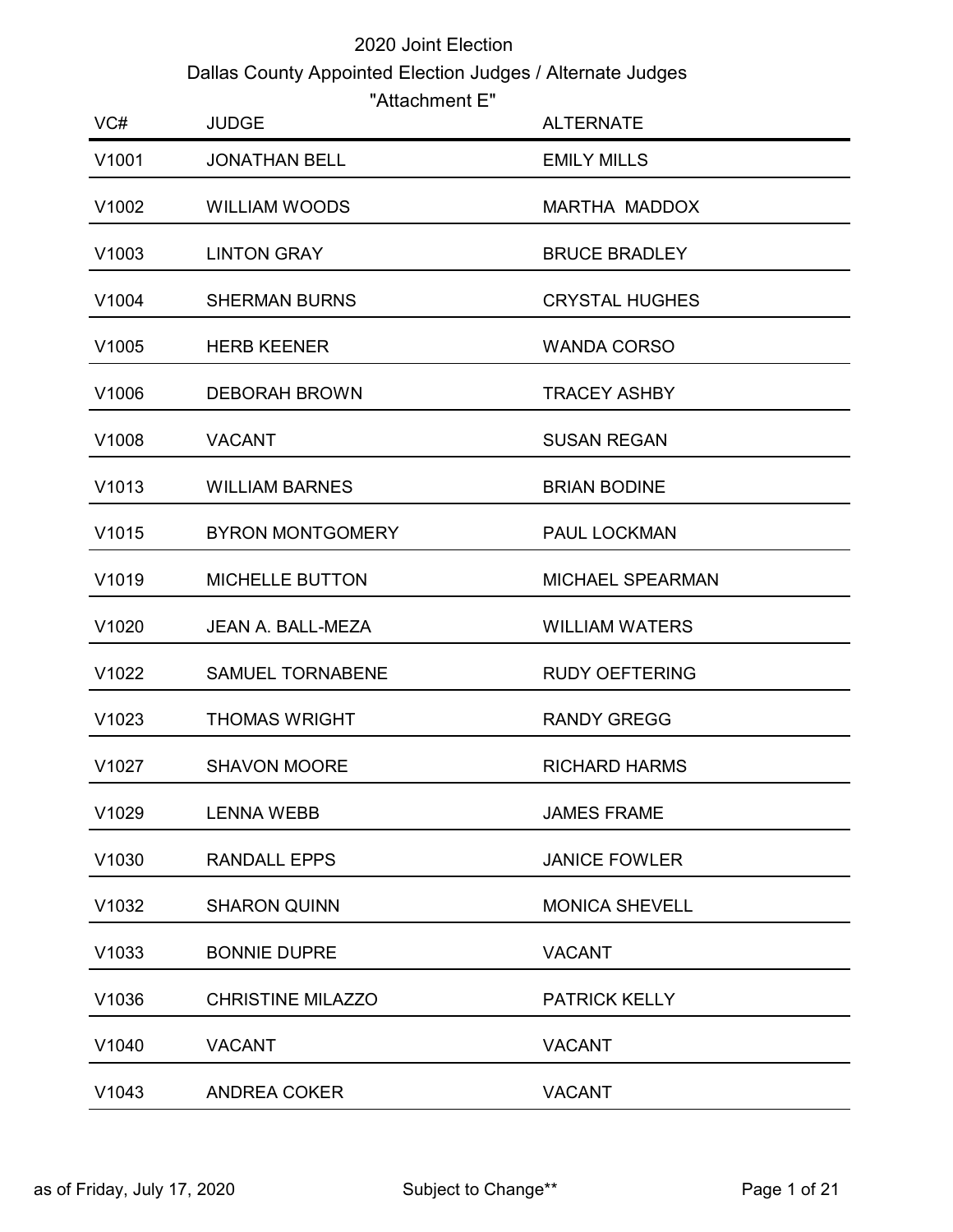## 2020 Joint Election Dallas County Appointed Election Judges / Alternate Judges

| "Attachment E" |  |
|----------------|--|
|----------------|--|

|       |                                                            | 2020 Joint Election   |
|-------|------------------------------------------------------------|-----------------------|
|       | Dallas County Appointed Election Judges / Alternate Judges |                       |
| VC#   | "Attachment E"<br><b>JUDGE</b>                             | <b>ALTERNATE</b>      |
| V1001 | <b>JONATHAN BELL</b>                                       | <b>EMILY MILLS</b>    |
| V1002 | WILLIAM WOODS                                              | MARTHA MADDOX         |
| V1003 | <b>LINTON GRAY</b>                                         | <b>BRUCE BRADLEY</b>  |
| V1004 | <b>SHERMAN BURNS</b>                                       | <b>CRYSTAL HUGHES</b> |
| V1005 | <b>HERB KEENER</b>                                         | <b>WANDA CORSO</b>    |
| V1006 | <b>DEBORAH BROWN</b>                                       | <b>TRACEY ASHBY</b>   |
| V1008 | <b>VACANT</b>                                              | <b>SUSAN REGAN</b>    |
| V1013 | <b>WILLIAM BARNES</b>                                      | <b>BRIAN BODINE</b>   |
| V1015 | <b>BYRON MONTGOMERY</b>                                    | PAUL LOCKMAN          |
| V1019 | <b>MICHELLE BUTTON</b>                                     | MICHAEL SPEARMAN      |
| V1020 | JEAN A. BALL-MEZA                                          | <b>WILLIAM WATERS</b> |
| V1022 | SAMUEL TORNABENE                                           | <b>RUDY OEFTERING</b> |
| V1023 | <b>THOMAS WRIGHT</b>                                       | <b>RANDY GREGG</b>    |
| V1027 | <b>SHAVON MOORE</b>                                        | <b>RICHARD HARMS</b>  |
| V1029 | <b>LENNA WEBB</b>                                          | <b>JAMES FRAME</b>    |
| V1030 | <b>RANDALL EPPS</b>                                        | <b>JANICE FOWLER</b>  |
| V1032 | <b>SHARON QUINN</b>                                        | <b>MONICA SHEVELL</b> |
| V1033 | <b>BONNIE DUPRE</b>                                        | <b>VACANT</b>         |
| V1036 | <b>CHRISTINE MILAZZO</b>                                   | <b>PATRICK KELLY</b>  |
| V1040 | <b>VACANT</b>                                              | <b>VACANT</b>         |
| V1043 | <b>ANDREA COKER</b>                                        | <b>VACANT</b>         |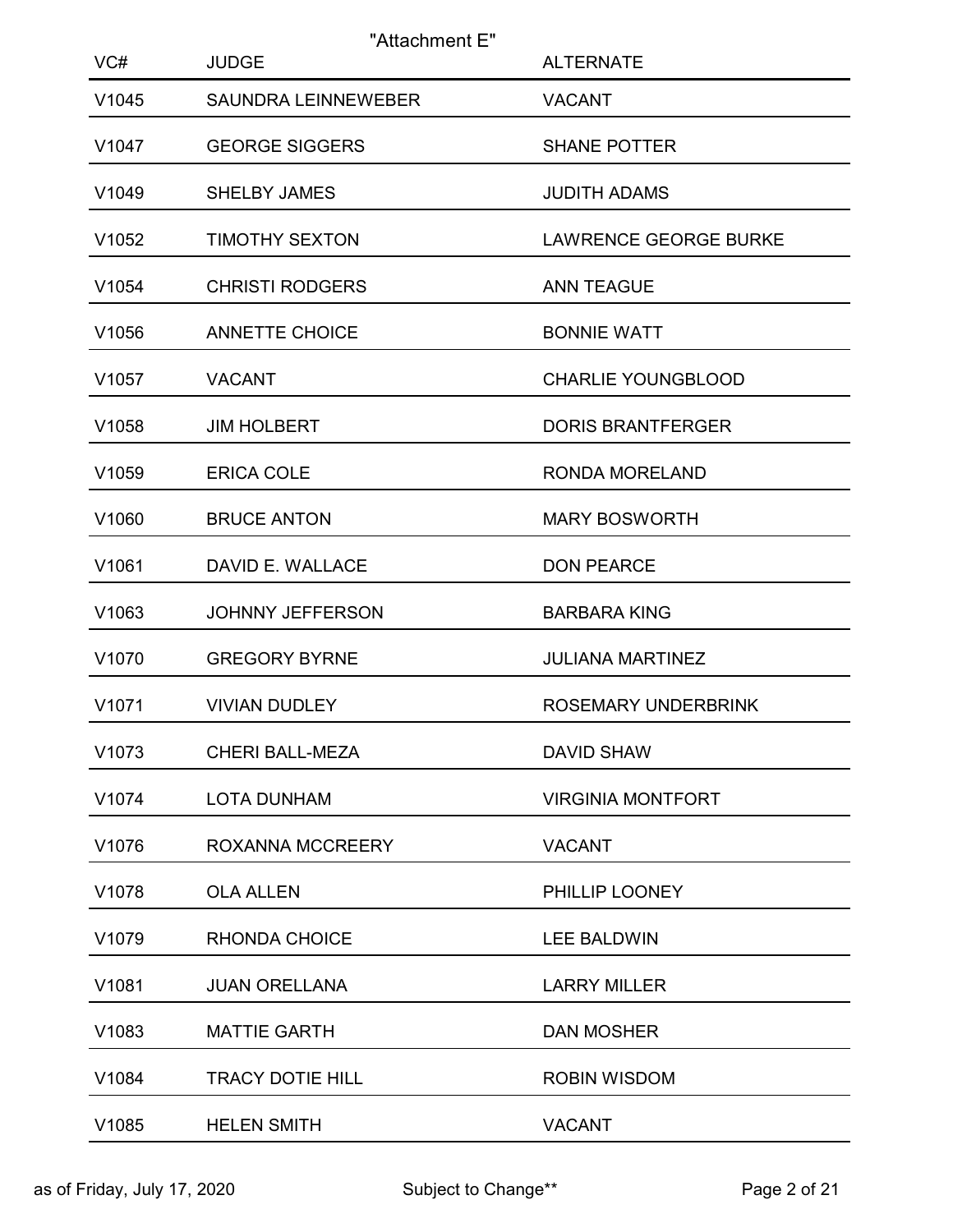| VC#   | "Attachment E"<br><b>JUDGE</b> | <b>ALTERNATE</b>             |
|-------|--------------------------------|------------------------------|
| V1045 | <b>SAUNDRA LEINNEWEBER</b>     | <b>VACANT</b>                |
| V1047 | <b>GEORGE SIGGERS</b>          | <b>SHANE POTTER</b>          |
| V1049 | SHELBY JAMES                   | <b>JUDITH ADAMS</b>          |
| V1052 | <b>TIMOTHY SEXTON</b>          | <b>LAWRENCE GEORGE BURKE</b> |
| V1054 | <b>CHRISTI RODGERS</b>         | <b>ANN TEAGUE</b>            |
| V1056 | <b>ANNETTE CHOICE</b>          | <b>BONNIE WATT</b>           |
| V1057 | <b>VACANT</b>                  | <b>CHARLIE YOUNGBLOOD</b>    |
| V1058 | <b>JIM HOLBERT</b>             | <b>DORIS BRANTFERGER</b>     |
| V1059 | <b>ERICA COLE</b>              | <b>RONDA MORELAND</b>        |
| V1060 | <b>BRUCE ANTON</b>             | <b>MARY BOSWORTH</b>         |
| V1061 | DAVID E. WALLACE               | <b>DON PEARCE</b>            |
| V1063 | JOHNNY JEFFERSON               | <b>BARBARA KING</b>          |
| V1070 | <b>GREGORY BYRNE</b>           | JULIANA MARTINEZ             |
| V1071 | <b>VIVIAN DUDLEY</b>           | ROSEMARY UNDERBRINK          |
| V1073 | CHERI BALL-MEZA                | <b>DAVID SHAW</b>            |
| V1074 | <b>LOTA DUNHAM</b>             | <b>VIRGINIA MONTFORT</b>     |
| V1076 | ROXANNA MCCREERY               | <b>VACANT</b>                |
| V1078 | <b>OLA ALLEN</b>               | PHILLIP LOONEY               |
| V1079 | RHONDA CHOICE                  | <b>LEE BALDWIN</b>           |
| V1081 | <b>JUAN ORELLANA</b>           | <b>LARRY MILLER</b>          |
| V1083 | <b>MATTIE GARTH</b>            | <b>DAN MOSHER</b>            |
| V1084 | TRACY DOTIE HILL               | <b>ROBIN WISDOM</b>          |
| V1085 | <b>HELEN SMITH</b>             | <b>VACANT</b>                |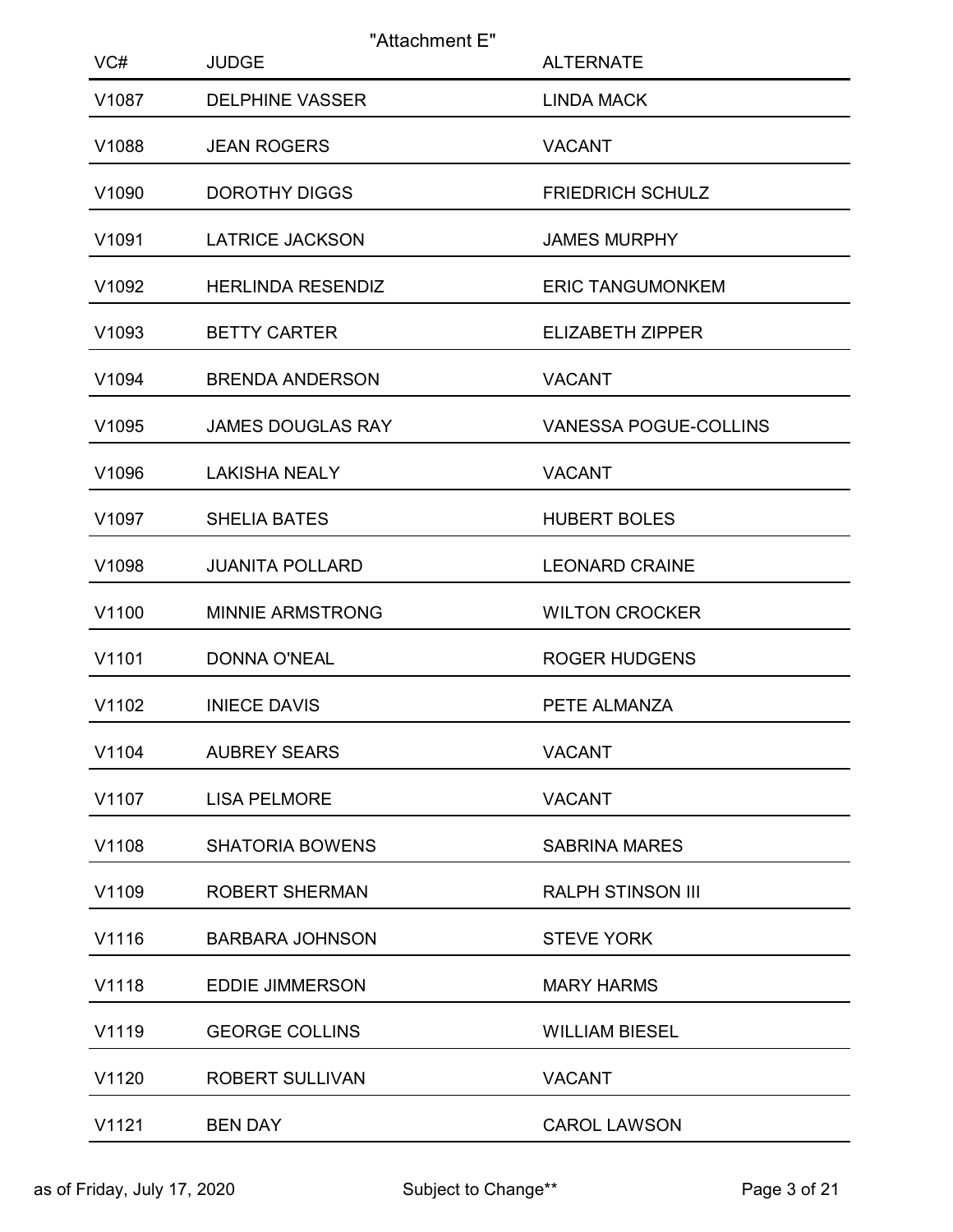| VC#   | "Attachment E"<br><b>JUDGE</b> | <b>ALTERNATE</b>         |
|-------|--------------------------------|--------------------------|
| V1087 | <b>DELPHINE VASSER</b>         | <b>LINDA MACK</b>        |
| V1088 | <b>JEAN ROGERS</b>             | <b>VACANT</b>            |
| V1090 | <b>DOROTHY DIGGS</b>           | <b>FRIEDRICH SCHULZ</b>  |
| V1091 | <b>LATRICE JACKSON</b>         | <b>JAMES MURPHY</b>      |
| V1092 | <b>HERLINDA RESENDIZ</b>       | <b>ERIC TANGUMONKEM</b>  |
| V1093 | <b>BETTY CARTER</b>            | <b>ELIZABETH ZIPPER</b>  |
| V1094 | <b>BRENDA ANDERSON</b>         | <b>VACANT</b>            |
| V1095 | <b>JAMES DOUGLAS RAY</b>       | VANESSA POGUE-COLLINS    |
| V1096 | <b>LAKISHA NEALY</b>           | <b>VACANT</b>            |
| V1097 | <b>SHELIA BATES</b>            | <b>HUBERT BOLES</b>      |
| V1098 | <b>JUANITA POLLARD</b>         | <b>LEONARD CRAINE</b>    |
| V1100 | <b>MINNIE ARMSTRONG</b>        | <b>WILTON CROCKER</b>    |
| V1101 | DONNA O'NEAL                   | <b>ROGER HUDGENS</b>     |
| V1102 | <b>INIECE DAVIS</b>            | PETE ALMANZA             |
| V1104 | <b>AUBREY SEARS</b>            | <b>VACANT</b>            |
| V1107 | <b>LISA PELMORE</b>            | <b>VACANT</b>            |
| V1108 | <b>SHATORIA BOWENS</b>         | <b>SABRINA MARES</b>     |
| V1109 | <b>ROBERT SHERMAN</b>          | <b>RALPH STINSON III</b> |
| V1116 | <b>BARBARA JOHNSON</b>         | <b>STEVE YORK</b>        |
| V1118 | <b>EDDIE JIMMERSON</b>         | <b>MARY HARMS</b>        |
| V1119 | <b>GEORGE COLLINS</b>          | <b>WILLIAM BIESEL</b>    |
| V1120 | ROBERT SULLIVAN                | <b>VACANT</b>            |
| V1121 | <b>BEN DAY</b>                 | <b>CAROL LAWSON</b>      |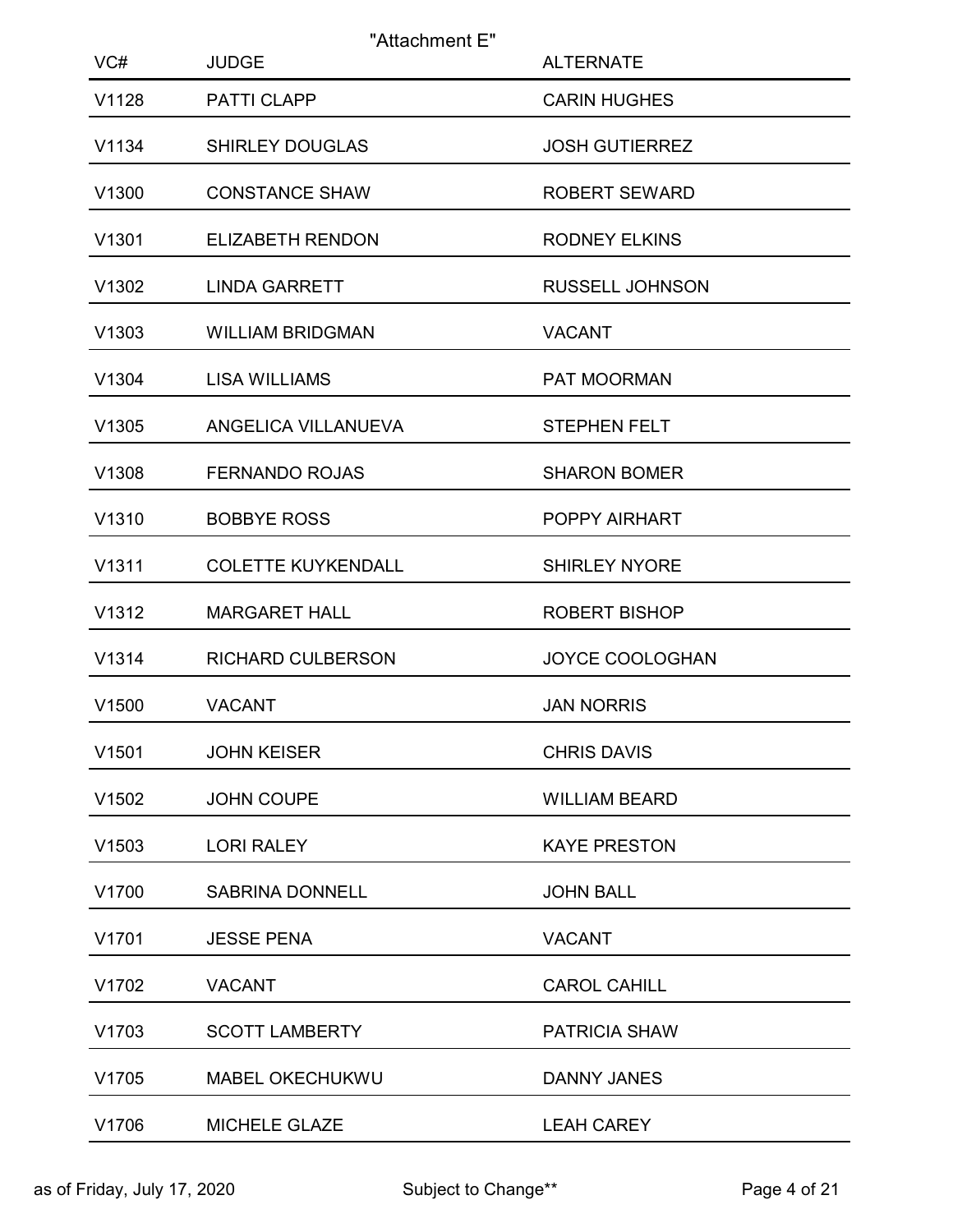| VC#   | "Attachment E"<br><b>JUDGE</b> | <b>ALTERNATE</b>       |
|-------|--------------------------------|------------------------|
| V1128 | PATTI CLAPP                    | <b>CARIN HUGHES</b>    |
| V1134 | <b>SHIRLEY DOUGLAS</b>         | <b>JOSH GUTIERREZ</b>  |
| V1300 | <b>CONSTANCE SHAW</b>          | <b>ROBERT SEWARD</b>   |
| V1301 | ELIZABETH RENDON               | <b>RODNEY ELKINS</b>   |
| V1302 | <b>LINDA GARRETT</b>           | <b>RUSSELL JOHNSON</b> |
| V1303 | <b>WILLIAM BRIDGMAN</b>        | <b>VACANT</b>          |
| V1304 | <b>LISA WILLIAMS</b>           | PAT MOORMAN            |
| V1305 | ANGELICA VILLANUEVA            | <b>STEPHEN FELT</b>    |
| V1308 | <b>FERNANDO ROJAS</b>          | <b>SHARON BOMER</b>    |
| V1310 | <b>BOBBYE ROSS</b>             | POPPY AIRHART          |
| V1311 | <b>COLETTE KUYKENDALL</b>      | <b>SHIRLEY NYORE</b>   |
| V1312 | <b>MARGARET HALL</b>           | ROBERT BISHOP          |
| V1314 | <b>RICHARD CULBERSON</b>       | JOYCE COOLOGHAN        |
| V1500 | <b>VACANT</b>                  | <b>JAN NORRIS</b>      |
| V1501 | <b>JOHN KEISER</b>             | <b>CHRIS DAVIS</b>     |
| V1502 | JOHN COUPE                     | <b>WILLIAM BEARD</b>   |
| V1503 | <b>LORI RALEY</b>              | <b>KAYE PRESTON</b>    |
| V1700 | <b>SABRINA DONNELL</b>         | <b>JOHN BALL</b>       |
| V1701 | <b>JESSE PENA</b>              | <b>VACANT</b>          |
| V1702 | <b>VACANT</b>                  | <b>CAROL CAHILL</b>    |
| V1703 | <b>SCOTT LAMBERTY</b>          | PATRICIA SHAW          |
| V1705 | MABEL OKECHUKWU                | DANNY JANES            |
| V1706 | MICHELE GLAZE                  | <b>LEAH CAREY</b>      |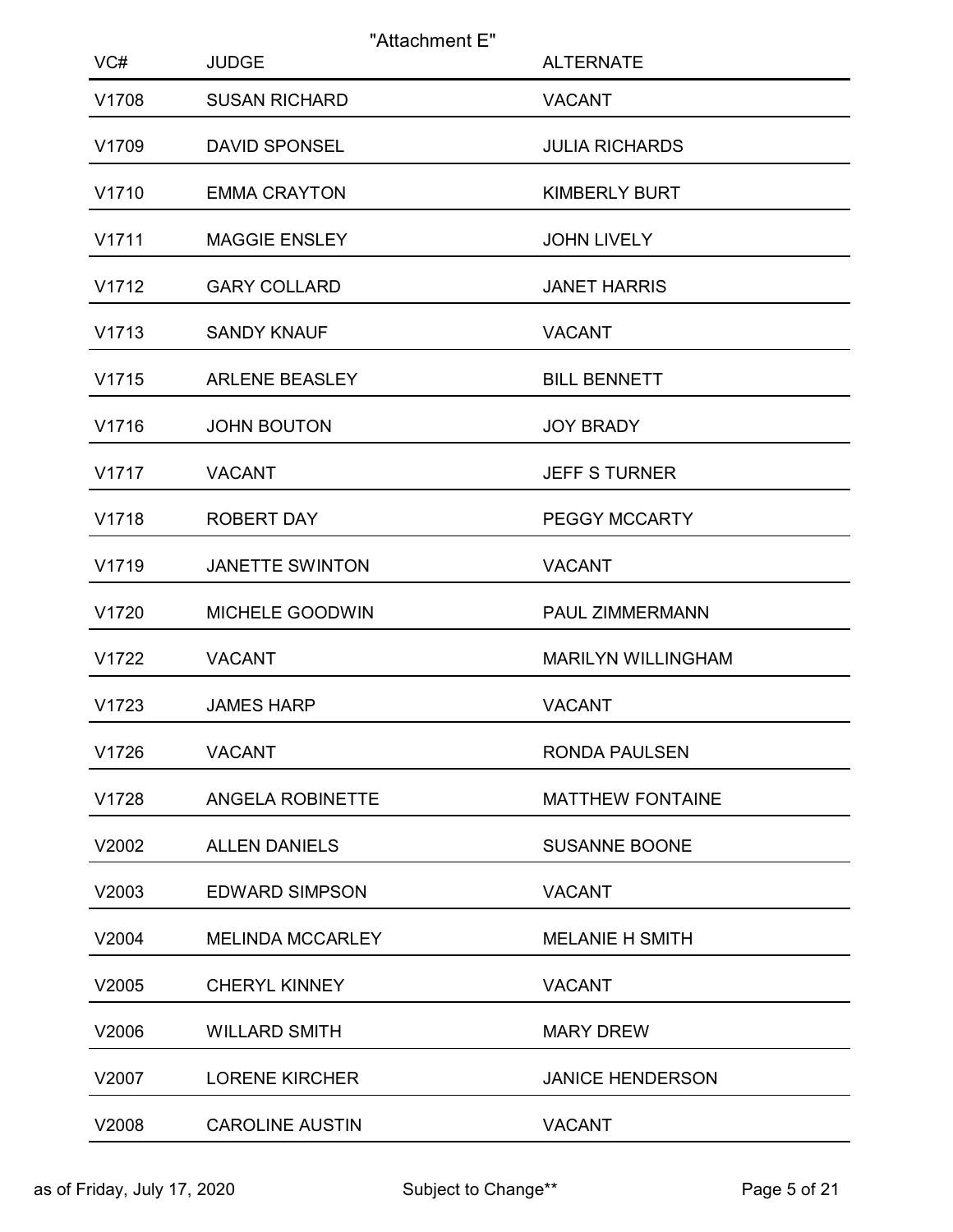| VC#   | "Attachment E"<br><b>JUDGE</b> | <b>ALTERNATE</b>          |
|-------|--------------------------------|---------------------------|
| V1708 | <b>SUSAN RICHARD</b>           | <b>VACANT</b>             |
| V1709 | <b>DAVID SPONSEL</b>           | <b>JULIA RICHARDS</b>     |
| V1710 | <b>EMMA CRAYTON</b>            | <b>KIMBERLY BURT</b>      |
| V1711 | MAGGIE ENSLEY                  | <b>JOHN LIVELY</b>        |
| V1712 | <b>GARY COLLARD</b>            | <b>JANET HARRIS</b>       |
| V1713 | <b>SANDY KNAUF</b>             | <b>VACANT</b>             |
| V1715 | <b>ARLENE BEASLEY</b>          | <b>BILL BENNETT</b>       |
| V1716 | <b>JOHN BOUTON</b>             | <b>JOY BRADY</b>          |
| V1717 | <b>VACANT</b>                  | <b>JEFF S TURNER</b>      |
| V1718 | <b>ROBERT DAY</b>              | PEGGY MCCARTY             |
| V1719 | <b>JANETTE SWINTON</b>         | <b>VACANT</b>             |
| V1720 | MICHELE GOODWIN                | PAUL ZIMMERMANN           |
| V1722 | <b>VACANT</b>                  | <b>MARILYN WILLINGHAM</b> |
| V1723 | <b>JAMES HARP</b>              | <b>VACANT</b>             |
| V1726 | <b>VACANT</b>                  | <b>RONDA PAULSEN</b>      |
| V1728 | ANGELA ROBINETTE               | <b>MATTHEW FONTAINE</b>   |
| V2002 | <b>ALLEN DANIELS</b>           | <b>SUSANNE BOONE</b>      |
| V2003 | <b>EDWARD SIMPSON</b>          | <b>VACANT</b>             |
| V2004 | <b>MELINDA MCCARLEY</b>        | <b>MELANIE H SMITH</b>    |
| V2005 | <b>CHERYL KINNEY</b>           | <b>VACANT</b>             |
| V2006 | <b>WILLARD SMITH</b>           | <b>MARY DREW</b>          |
| V2007 | <b>LORENE KIRCHER</b>          | <b>JANICE HENDERSON</b>   |
| V2008 | <b>CAROLINE AUSTIN</b>         | <b>VACANT</b>             |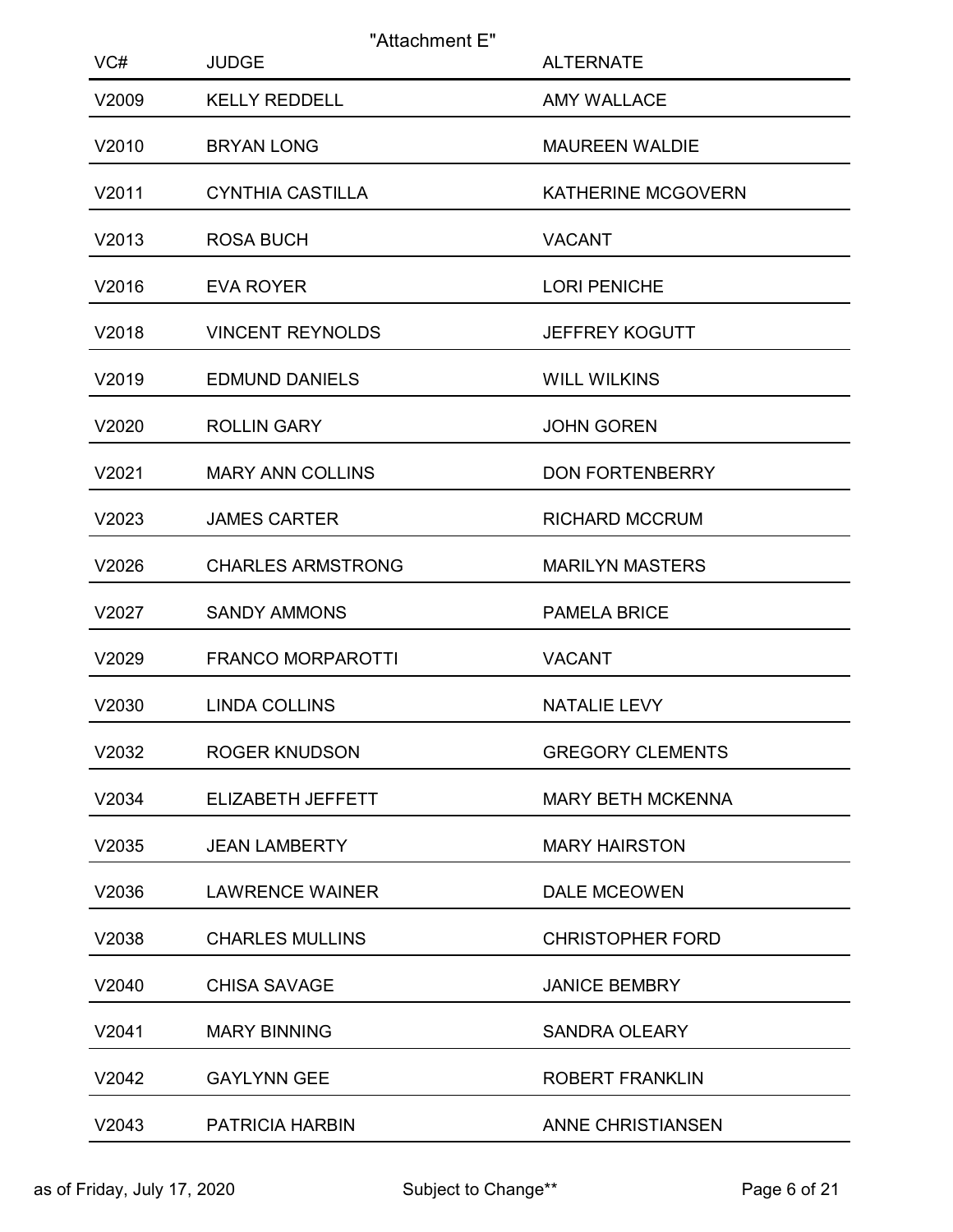| VC#   | "Attachment E"<br><b>JUDGE</b> | <b>ALTERNATE</b>          |
|-------|--------------------------------|---------------------------|
| V2009 | <b>KELLY REDDELL</b>           | <b>AMY WALLACE</b>        |
| V2010 | <b>BRYAN LONG</b>              | <b>MAUREEN WALDIE</b>     |
| V2011 | <b>CYNTHIA CASTILLA</b>        | <b>KATHERINE MCGOVERN</b> |
| V2013 | <b>ROSA BUCH</b>               | <b>VACANT</b>             |
| V2016 | <b>EVA ROYER</b>               | <b>LORI PENICHE</b>       |
| V2018 | <b>VINCENT REYNOLDS</b>        | <b>JEFFREY KOGUTT</b>     |
| V2019 | <b>EDMUND DANIELS</b>          | <b>WILL WILKINS</b>       |
| V2020 | <b>ROLLIN GARY</b>             | <b>JOHN GOREN</b>         |
| V2021 | <b>MARY ANN COLLINS</b>        | <b>DON FORTENBERRY</b>    |
| V2023 | <b>JAMES CARTER</b>            | <b>RICHARD MCCRUM</b>     |
| V2026 | <b>CHARLES ARMSTRONG</b>       | <b>MARILYN MASTERS</b>    |
| V2027 | <b>SANDY AMMONS</b>            | <b>PAMELA BRICE</b>       |
| V2029 | <b>FRANCO MORPAROTTI</b>       | <b>VACANT</b>             |
| V2030 | <b>LINDA COLLINS</b>           | NATALIE LEVY              |
| V2032 | <b>ROGER KNUDSON</b>           | <b>GREGORY CLEMENTS</b>   |
| V2034 | ELIZABETH JEFFETT              | <b>MARY BETH MCKENNA</b>  |
| V2035 | <b>JEAN LAMBERTY</b>           | <b>MARY HAIRSTON</b>      |
| V2036 | <b>LAWRENCE WAINER</b>         | DALE MCEOWEN              |
| V2038 | <b>CHARLES MULLINS</b>         | <b>CHRISTOPHER FORD</b>   |
| V2040 | <b>CHISA SAVAGE</b>            | <b>JANICE BEMBRY</b>      |
| V2041 | <b>MARY BINNING</b>            | <b>SANDRA OLEARY</b>      |
| V2042 | <b>GAYLYNN GEE</b>             | ROBERT FRANKLIN           |
| V2043 | PATRICIA HARBIN                | ANNE CHRISTIANSEN         |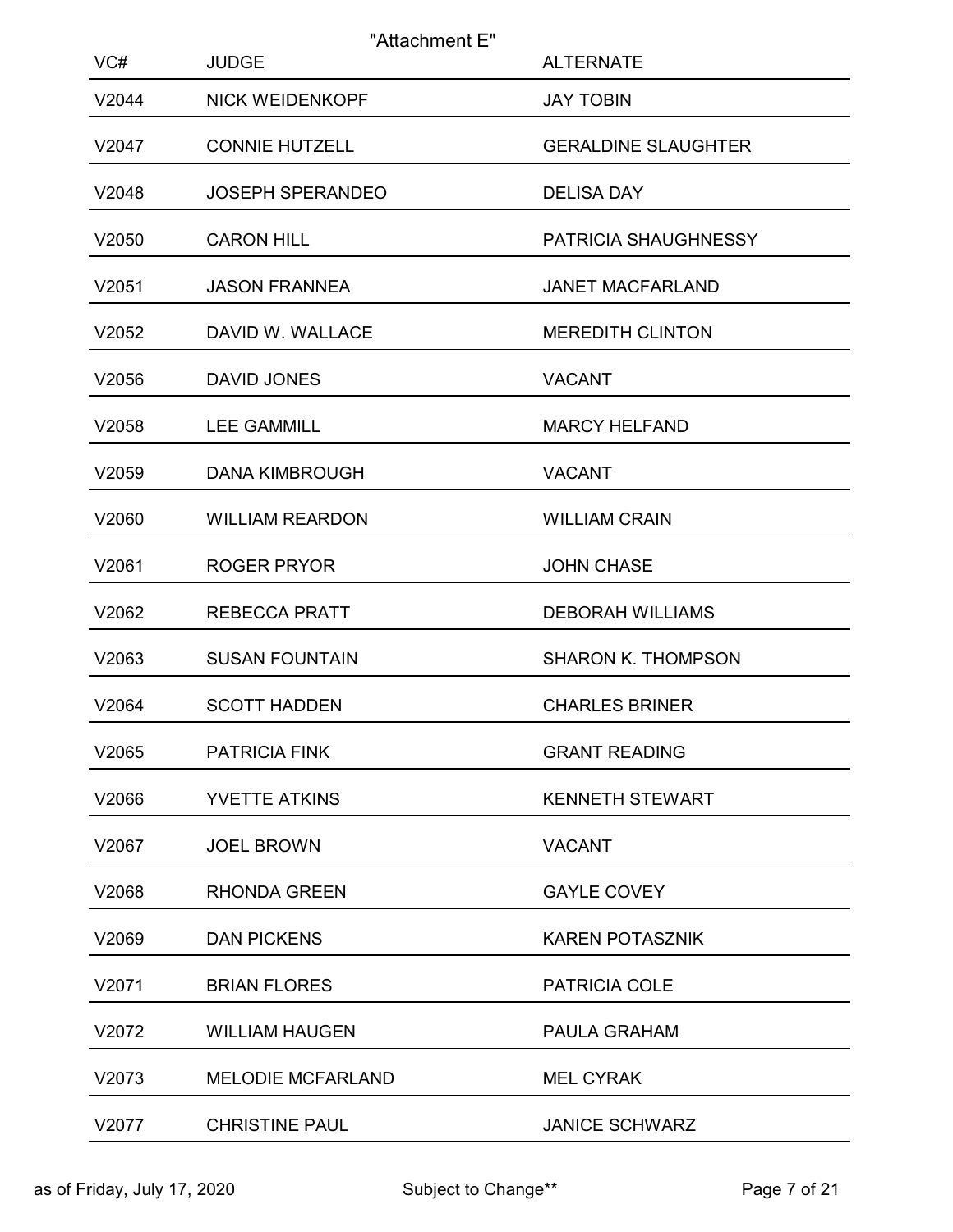| VC#   | <b>JUDGE</b>             | "Attachment E"<br><b>ALTERNATE</b> |
|-------|--------------------------|------------------------------------|
| V2044 | <b>NICK WEIDENKOPF</b>   | <b>JAY TOBIN</b>                   |
| V2047 | <b>CONNIE HUTZELL</b>    | <b>GERALDINE SLAUGHTER</b>         |
| V2048 | <b>JOSEPH SPERANDEO</b>  | <b>DELISA DAY</b>                  |
| V2050 | <b>CARON HILL</b>        | PATRICIA SHAUGHNESSY               |
| V2051 | <b>JASON FRANNEA</b>     | JANET MACFARLAND                   |
| V2052 | DAVID W. WALLACE         | <b>MEREDITH CLINTON</b>            |
| V2056 | DAVID JONES              | <b>VACANT</b>                      |
| V2058 | <b>LEE GAMMILL</b>       | <b>MARCY HELFAND</b>               |
| V2059 | <b>DANA KIMBROUGH</b>    | <b>VACANT</b>                      |
| V2060 | <b>WILLIAM REARDON</b>   | <b>WILLIAM CRAIN</b>               |
| V2061 | <b>ROGER PRYOR</b>       | <b>JOHN CHASE</b>                  |
| V2062 | <b>REBECCA PRATT</b>     | <b>DEBORAH WILLIAMS</b>            |
| V2063 | <b>SUSAN FOUNTAIN</b>    | <b>SHARON K. THOMPSON</b>          |
| V2064 | <b>SCOTT HADDEN</b>      | <b>CHARLES BRINER</b>              |
| V2065 | PATRICIA FINK            | <b>GRANT READING</b>               |
| V2066 | YVETTE ATKINS            | <b>KENNETH STEWART</b>             |
| V2067 | <b>JOEL BROWN</b>        | <b>VACANT</b>                      |
| V2068 | <b>RHONDA GREEN</b>      | <b>GAYLE COVEY</b>                 |
| V2069 | <b>DAN PICKENS</b>       | <b>KAREN POTASZNIK</b>             |
| V2071 | <b>BRIAN FLORES</b>      | PATRICIA COLE                      |
| V2072 | <b>WILLIAM HAUGEN</b>    | PAULA GRAHAM                       |
| V2073 | <b>MELODIE MCFARLAND</b> | <b>MEL CYRAK</b>                   |
| V2077 | <b>CHRISTINE PAUL</b>    | <b>JANICE SCHWARZ</b>              |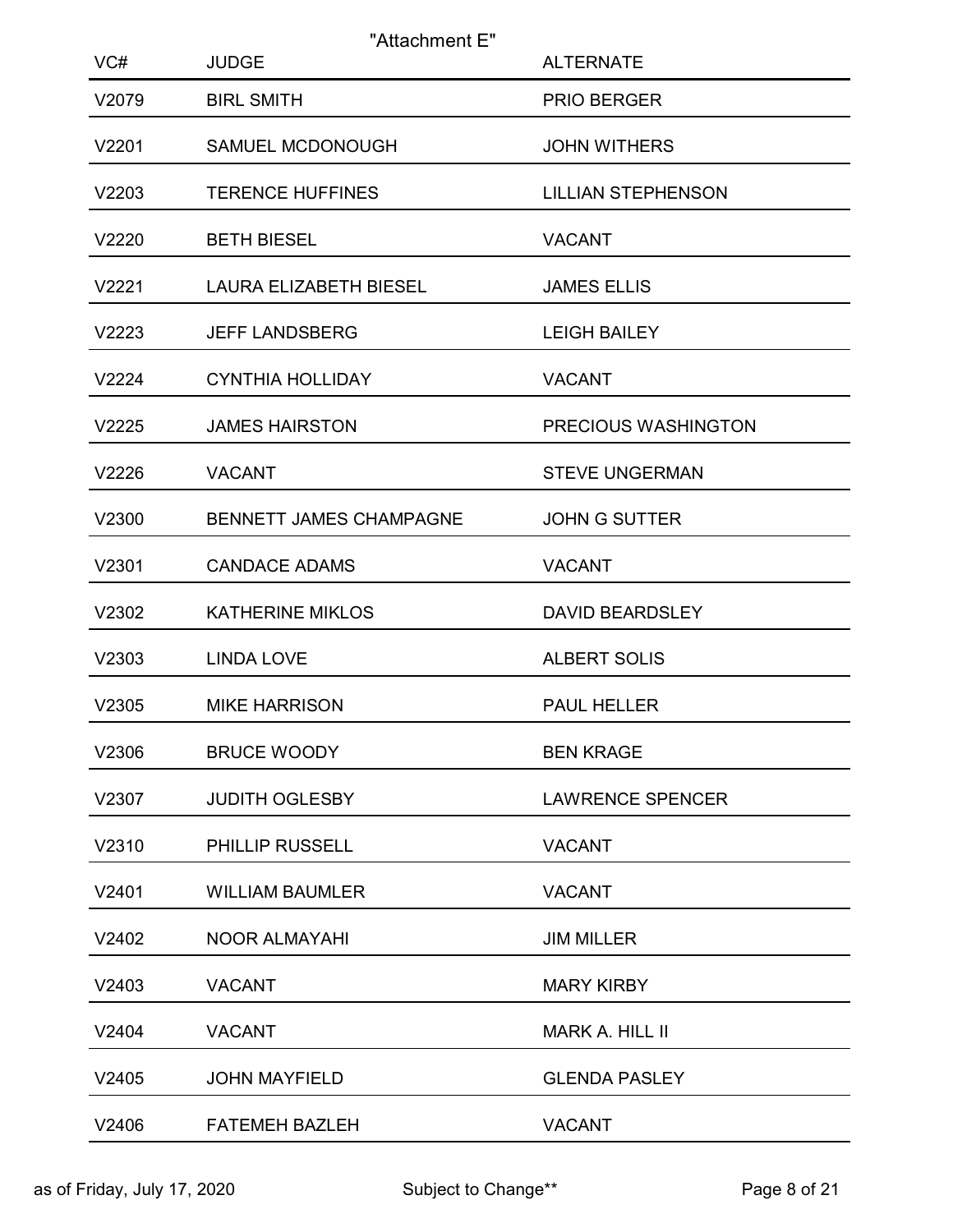| VC#   | "Attachment E"<br><b>JUDGE</b> | <b>ALTERNATE</b>          |
|-------|--------------------------------|---------------------------|
| V2079 | <b>BIRL SMITH</b>              | PRIO BERGER               |
| V2201 | SAMUEL MCDONOUGH               | <b>JOHN WITHERS</b>       |
| V2203 | <b>TERENCE HUFFINES</b>        | <b>LILLIAN STEPHENSON</b> |
| V2220 | <b>BETH BIESEL</b>             | <b>VACANT</b>             |
| V2221 | <b>LAURA ELIZABETH BIESEL</b>  | <b>JAMES ELLIS</b>        |
| V2223 | <b>JEFF LANDSBERG</b>          | <b>LEIGH BAILEY</b>       |
| V2224 | <b>CYNTHIA HOLLIDAY</b>        | <b>VACANT</b>             |
| V2225 | <b>JAMES HAIRSTON</b>          | PRECIOUS WASHINGTON       |
| V2226 | <b>VACANT</b>                  | <b>STEVE UNGERMAN</b>     |
| V2300 | BENNETT JAMES CHAMPAGNE        | JOHN G SUTTER             |
| V2301 | <b>CANDACE ADAMS</b>           | <b>VACANT</b>             |
| V2302 | <b>KATHERINE MIKLOS</b>        | <b>DAVID BEARDSLEY</b>    |
| V2303 | <b>LINDA LOVE</b>              | <b>ALBERT SOLIS</b>       |
| V2305 | <b>MIKE HARRISON</b>           | PAUL HELLER               |
| V2306 | <b>BRUCE WOODY</b>             | <b>BEN KRAGE</b>          |
| V2307 | <b>JUDITH OGLESBY</b>          | <b>LAWRENCE SPENCER</b>   |
| V2310 | PHILLIP RUSSELL                | <b>VACANT</b>             |
| V2401 | <b>WILLIAM BAUMLER</b>         | <b>VACANT</b>             |
| V2402 | <b>NOOR ALMAYAHI</b>           | <b>JIM MILLER</b>         |
| V2403 | <b>VACANT</b>                  | <b>MARY KIRBY</b>         |
| V2404 | <b>VACANT</b>                  | <b>MARK A. HILL II</b>    |
| V2405 | <b>JOHN MAYFIELD</b>           | <b>GLENDA PASLEY</b>      |
| V2406 | FATEMEH BAZLEH                 | <b>VACANT</b>             |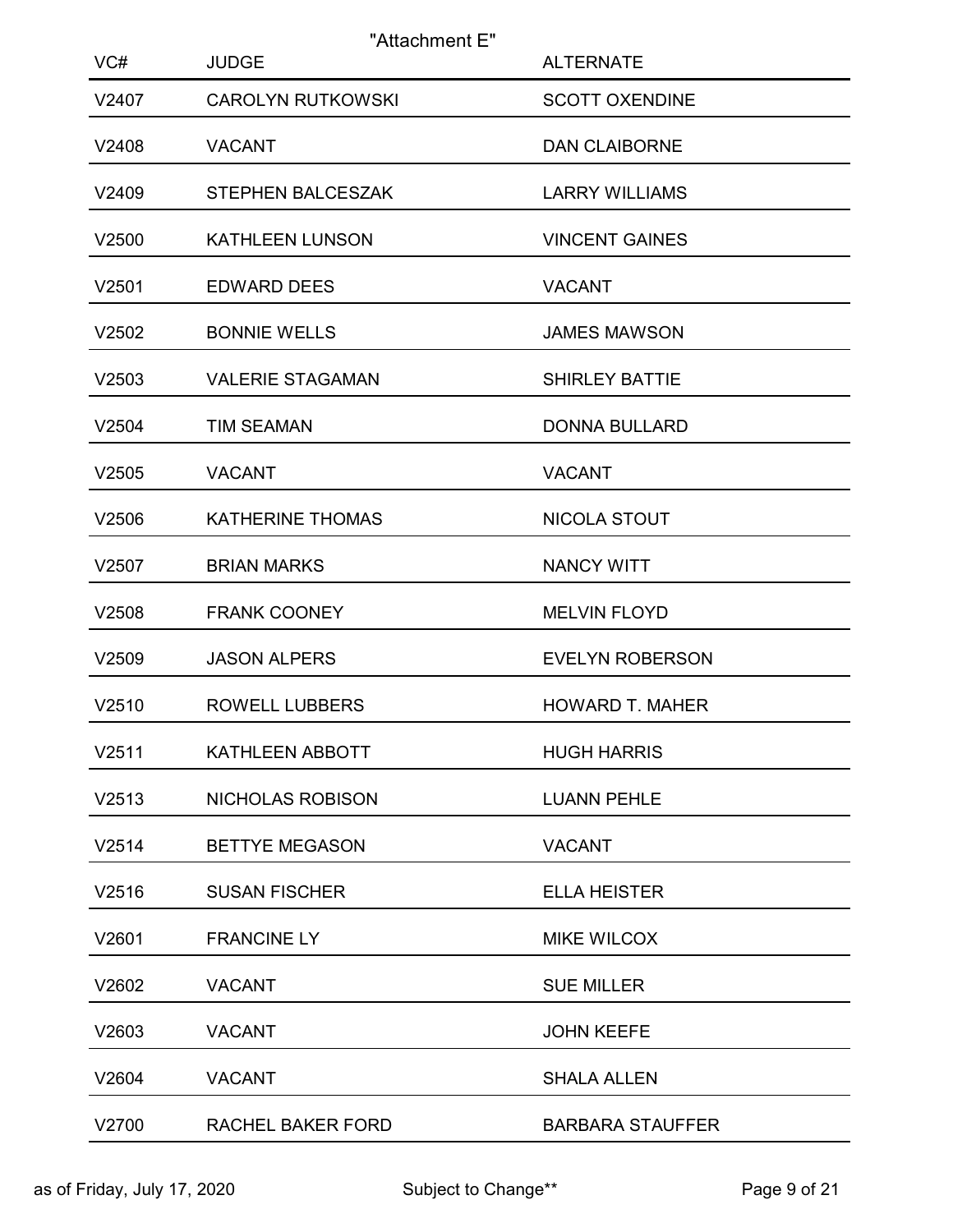|              | <b>JUDGE</b>             | "Attachment E"                            |  |
|--------------|--------------------------|-------------------------------------------|--|
| VC#<br>V2407 | <b>CAROLYN RUTKOWSKI</b> | <b>ALTERNATE</b><br><b>SCOTT OXENDINE</b> |  |
| V2408        | <b>VACANT</b>            | <b>DAN CLAIBORNE</b>                      |  |
| V2409        | STEPHEN BALCESZAK        | <b>LARRY WILLIAMS</b>                     |  |
| V2500        | <b>KATHLEEN LUNSON</b>   | <b>VINCENT GAINES</b>                     |  |
| V2501        | <b>EDWARD DEES</b>       | <b>VACANT</b>                             |  |
| V2502        | <b>BONNIE WELLS</b>      | <b>JAMES MAWSON</b>                       |  |
| V2503        | <b>VALERIE STAGAMAN</b>  | <b>SHIRLEY BATTIE</b>                     |  |
| V2504        | <b>TIM SEAMAN</b>        | <b>DONNA BULLARD</b>                      |  |
| V2505        | <b>VACANT</b>            | <b>VACANT</b>                             |  |
| V2506        | <b>KATHERINE THOMAS</b>  | NICOLA STOUT                              |  |
| V2507        | <b>BRIAN MARKS</b>       | NANCY WITT                                |  |
| V2508        | <b>FRANK COONEY</b>      | <b>MELVIN FLOYD</b>                       |  |
| V2509        | <b>JASON ALPERS</b>      | <b>EVELYN ROBERSON</b>                    |  |
| V2510        | <b>ROWELL LUBBERS</b>    | <b>HOWARD T. MAHER</b>                    |  |
| V2511        | KATHLEEN ABBOTT          | <b>HUGH HARRIS</b>                        |  |
| V2513        | NICHOLAS ROBISON         | <b>LUANN PEHLE</b>                        |  |
| V2514        | <b>BETTYE MEGASON</b>    | <b>VACANT</b>                             |  |
| V2516        | <b>SUSAN FISCHER</b>     | <b>ELLA HEISTER</b>                       |  |
| V2601        | <b>FRANCINE LY</b>       | MIKE WILCOX                               |  |
| V2602        | <b>VACANT</b>            | <b>SUE MILLER</b>                         |  |
| V2603        | <b>VACANT</b>            | <b>JOHN KEEFE</b>                         |  |
| V2604        | <b>VACANT</b>            | <b>SHALA ALLEN</b>                        |  |
| V2700        | RACHEL BAKER FORD        | <b>BARBARA STAUFFER</b>                   |  |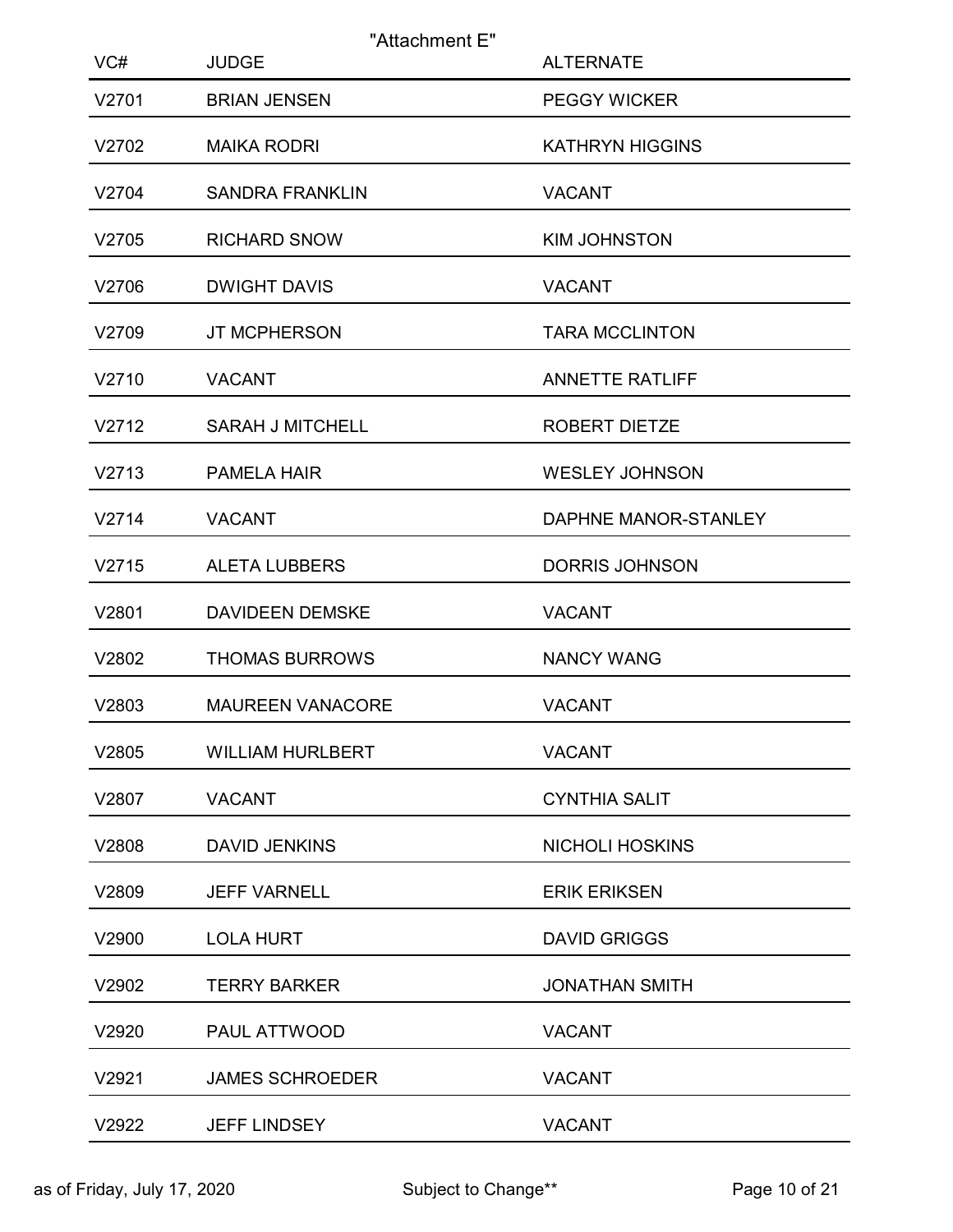| VC#   | "Attachment E"<br><b>JUDGE</b> | <b>ALTERNATE</b>       |
|-------|--------------------------------|------------------------|
| V2701 | <b>BRIAN JENSEN</b>            | <b>PEGGY WICKER</b>    |
| V2702 | <b>MAIKA RODRI</b>             | <b>KATHRYN HIGGINS</b> |
| V2704 | <b>SANDRA FRANKLIN</b>         | <b>VACANT</b>          |
| V2705 | <b>RICHARD SNOW</b>            | <b>KIM JOHNSTON</b>    |
| V2706 | <b>DWIGHT DAVIS</b>            | <b>VACANT</b>          |
| V2709 | JT MCPHERSON                   | <b>TARA MCCLINTON</b>  |
| V2710 | <b>VACANT</b>                  | <b>ANNETTE RATLIFF</b> |
| V2712 | <b>SARAH J MITCHELL</b>        | ROBERT DIETZE          |
| V2713 | <b>PAMELA HAIR</b>             | <b>WESLEY JOHNSON</b>  |
| V2714 | <b>VACANT</b>                  | DAPHNE MANOR-STANLEY   |
| V2715 | <b>ALETA LUBBERS</b>           | <b>DORRIS JOHNSON</b>  |
| V2801 | <b>DAVIDEEN DEMSKE</b>         | <b>VACANT</b>          |
| V2802 | <b>THOMAS BURROWS</b>          | <b>NANCY WANG</b>      |
| V2803 | <b>MAUREEN VANACORE</b>        | <b>VACANT</b>          |
| V2805 | <b>WILLIAM HURLBERT</b>        | <b>VACANT</b>          |
| V2807 | <b>VACANT</b>                  | <b>CYNTHIA SALIT</b>   |
| V2808 | <b>DAVID JENKINS</b>           | <b>NICHOLI HOSKINS</b> |
| V2809 | <b>JEFF VARNELL</b>            | <b>ERIK ERIKSEN</b>    |
| V2900 | <b>LOLA HURT</b>               | <b>DAVID GRIGGS</b>    |
| V2902 | <b>TERRY BARKER</b>            | <b>JONATHAN SMITH</b>  |
| V2920 | PAUL ATTWOOD                   | <b>VACANT</b>          |
| V2921 | JAMES SCHROEDER                | <b>VACANT</b>          |
| V2922 | JEFF LINDSEY                   | VACANT                 |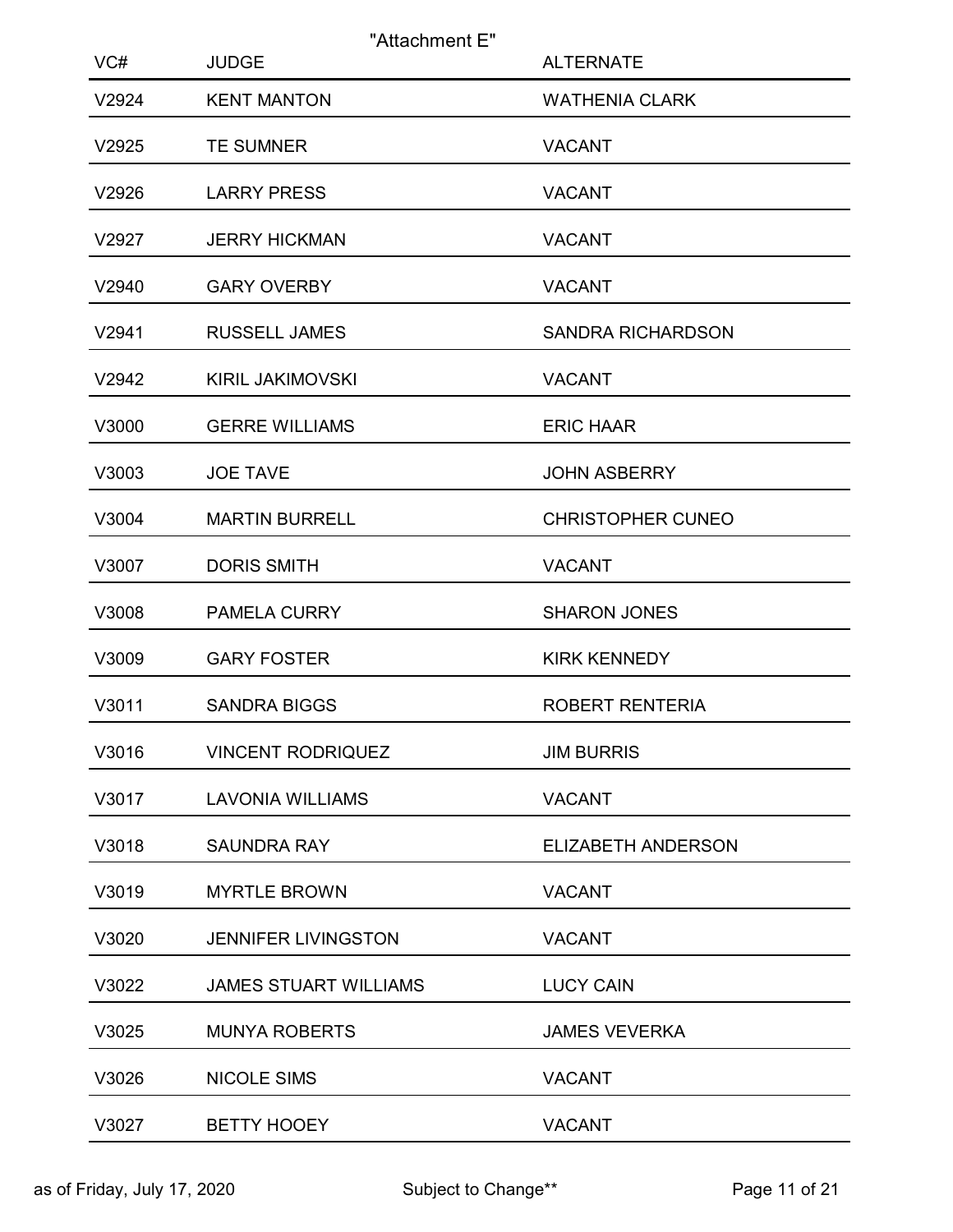| VC#   | "Attachment E"<br><b>JUDGE</b> | <b>ALTERNATE</b>          |
|-------|--------------------------------|---------------------------|
| V2924 | <b>KENT MANTON</b>             | <b>WATHENIA CLARK</b>     |
| V2925 | <b>TE SUMNER</b>               | <b>VACANT</b>             |
| V2926 | <b>LARRY PRESS</b>             | <b>VACANT</b>             |
| V2927 | <b>JERRY HICKMAN</b>           | <b>VACANT</b>             |
| V2940 | <b>GARY OVERBY</b>             | <b>VACANT</b>             |
| V2941 | <b>RUSSELL JAMES</b>           | <b>SANDRA RICHARDSON</b>  |
| V2942 | <b>KIRIL JAKIMOVSKI</b>        | <b>VACANT</b>             |
| V3000 | <b>GERRE WILLIAMS</b>          | <b>ERIC HAAR</b>          |
| V3003 | <b>JOE TAVE</b>                | <b>JOHN ASBERRY</b>       |
| V3004 | <b>MARTIN BURRELL</b>          | <b>CHRISTOPHER CUNEO</b>  |
| V3007 | <b>DORIS SMITH</b>             | <b>VACANT</b>             |
| V3008 | <b>PAMELA CURRY</b>            | <b>SHARON JONES</b>       |
| V3009 | <b>GARY FOSTER</b>             | <b>KIRK KENNEDY</b>       |
| V3011 | <b>SANDRA BIGGS</b>            | ROBERT RENTERIA           |
| V3016 | <b>VINCENT RODRIQUEZ</b>       | <b>JIM BURRIS</b>         |
| V3017 | <b>LAVONIA WILLIAMS</b>        | <b>VACANT</b>             |
| V3018 | <b>SAUNDRA RAY</b>             | <b>ELIZABETH ANDERSON</b> |
| V3019 | <b>MYRTLE BROWN</b>            | <b>VACANT</b>             |
| V3020 | <b>JENNIFER LIVINGSTON</b>     | <b>VACANT</b>             |
| V3022 | <b>JAMES STUART WILLIAMS</b>   | <b>LUCY CAIN</b>          |
| V3025 | <b>MUNYA ROBERTS</b>           | <b>JAMES VEVERKA</b>      |
| V3026 | NICOLE SIMS                    | VACANT                    |
| V3027 | <b>BETTY HOOEY</b>             | <b>VACANT</b>             |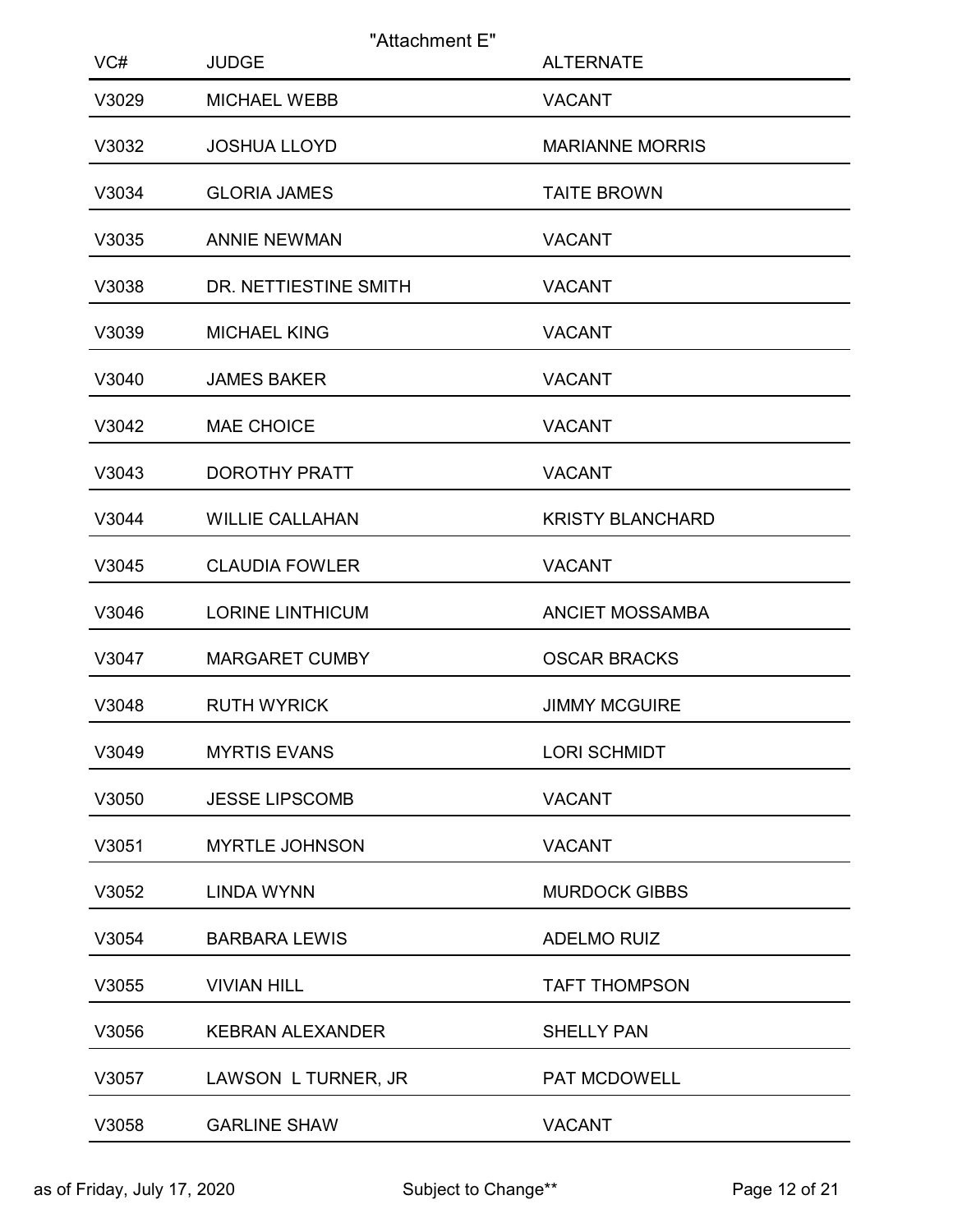| VC#   | "Attachment E"<br><b>JUDGE</b> | <b>ALTERNATE</b>        |
|-------|--------------------------------|-------------------------|
| V3029 | <b>MICHAEL WEBB</b>            | <b>VACANT</b>           |
| V3032 | <b>JOSHUA LLOYD</b>            | <b>MARIANNE MORRIS</b>  |
| V3034 | <b>GLORIA JAMES</b>            | <b>TAITE BROWN</b>      |
| V3035 | <b>ANNIE NEWMAN</b>            | <b>VACANT</b>           |
| V3038 | DR. NETTIESTINE SMITH          | <b>VACANT</b>           |
| V3039 | <b>MICHAEL KING</b>            | <b>VACANT</b>           |
| V3040 | <b>JAMES BAKER</b>             | <b>VACANT</b>           |
| V3042 | <b>MAE CHOICE</b>              | <b>VACANT</b>           |
| V3043 | <b>DOROTHY PRATT</b>           | <b>VACANT</b>           |
| V3044 | <b>WILLIE CALLAHAN</b>         | <b>KRISTY BLANCHARD</b> |
| V3045 | <b>CLAUDIA FOWLER</b>          | <b>VACANT</b>           |
| V3046 | <b>LORINE LINTHICUM</b>        | <b>ANCIET MOSSAMBA</b>  |
| V3047 | <b>MARGARET CUMBY</b>          | <b>OSCAR BRACKS</b>     |
| V3048 | <b>RUTH WYRICK</b>             | <b>JIMMY MCGUIRE</b>    |
| V3049 | <b>MYRTIS EVANS</b>            | <b>LORI SCHMIDT</b>     |
| V3050 | <b>JESSE LIPSCOMB</b>          | <b>VACANT</b>           |
| V3051 | <b>MYRTLE JOHNSON</b>          | <b>VACANT</b>           |
| V3052 | <b>LINDA WYNN</b>              | <b>MURDOCK GIBBS</b>    |
| V3054 | <b>BARBARA LEWIS</b>           | ADELMO RUIZ             |
| V3055 | <b>VIVIAN HILL</b>             | <b>TAFT THOMPSON</b>    |
| V3056 | <b>KEBRAN ALEXANDER</b>        | <b>SHELLY PAN</b>       |
| V3057 | LAWSON L TURNER, JR            | PAT MCDOWELL            |
| V3058 | <b>GARLINE SHAW</b>            | <b>VACANT</b>           |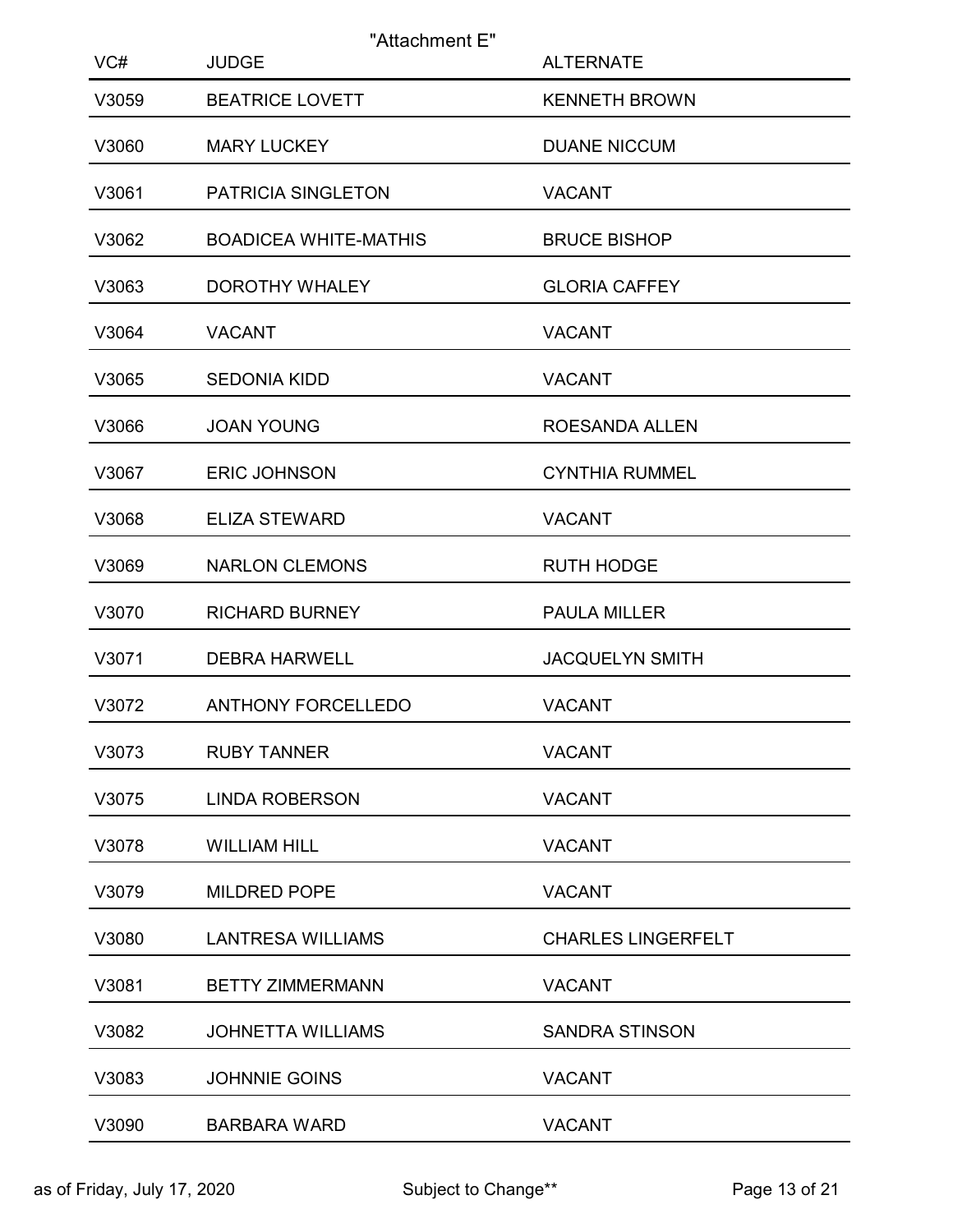| VC#   | "Attachment E"<br><b>JUDGE</b> | <b>ALTERNATE</b>          |
|-------|--------------------------------|---------------------------|
| V3059 | <b>BEATRICE LOVETT</b>         | <b>KENNETH BROWN</b>      |
| V3060 | <b>MARY LUCKEY</b>             | <b>DUANE NICCUM</b>       |
| V3061 | PATRICIA SINGLETON             | <b>VACANT</b>             |
| V3062 | <b>BOADICEA WHITE-MATHIS</b>   | <b>BRUCE BISHOP</b>       |
| V3063 | <b>DOROTHY WHALEY</b>          | <b>GLORIA CAFFEY</b>      |
| V3064 | <b>VACANT</b>                  | <b>VACANT</b>             |
| V3065 | <b>SEDONIA KIDD</b>            | <b>VACANT</b>             |
| V3066 | <b>JOAN YOUNG</b>              | ROESANDA ALLEN            |
| V3067 | <b>ERIC JOHNSON</b>            | <b>CYNTHIA RUMMEL</b>     |
| V3068 | <b>ELIZA STEWARD</b>           | <b>VACANT</b>             |
| V3069 | <b>NARLON CLEMONS</b>          | <b>RUTH HODGE</b>         |
| V3070 | <b>RICHARD BURNEY</b>          | <b>PAULA MILLER</b>       |
| V3071 | <b>DEBRA HARWELL</b>           | <b>JACQUELYN SMITH</b>    |
| V3072 | ANTHONY FORCELLEDO             | <b>VACANT</b>             |
| V3073 | <b>RUBY TANNER</b>             | <b>VACANT</b>             |
| V3075 | <b>LINDA ROBERSON</b>          | <b>VACANT</b>             |
| V3078 | <b>WILLIAM HILL</b>            | <b>VACANT</b>             |
| V3079 | MILDRED POPE                   | <b>VACANT</b>             |
| V3080 | <b>LANTRESA WILLIAMS</b>       | <b>CHARLES LINGERFELT</b> |
| V3081 | <b>BETTY ZIMMERMANN</b>        | <b>VACANT</b>             |
| V3082 | <b>JOHNETTA WILLIAMS</b>       | <b>SANDRA STINSON</b>     |
| V3083 | JOHNNIE GOINS                  | <b>VACANT</b>             |
| V3090 | <b>BARBARA WARD</b>            | <b>VACANT</b>             |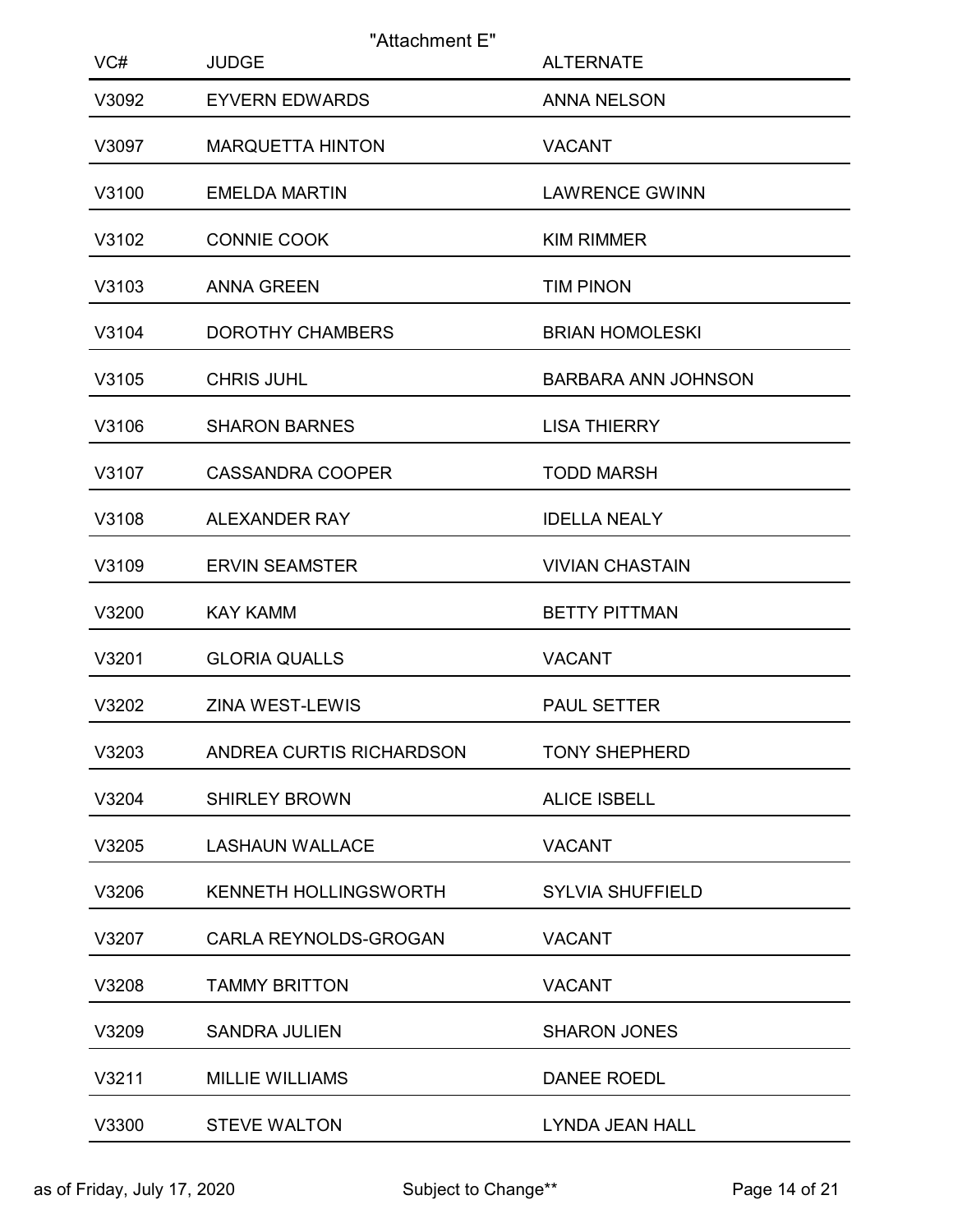| VC#   | "Attachment E"<br><b>JUDGE</b> | <b>ALTERNATE</b>           |
|-------|--------------------------------|----------------------------|
| V3092 | <b>EYVERN EDWARDS</b>          | <b>ANNA NELSON</b>         |
| V3097 | <b>MARQUETTA HINTON</b>        | <b>VACANT</b>              |
| V3100 | <b>EMELDA MARTIN</b>           | <b>LAWRENCE GWINN</b>      |
| V3102 | <b>CONNIE COOK</b>             | <b>KIM RIMMER</b>          |
| V3103 | <b>ANNA GREEN</b>              | <b>TIM PINON</b>           |
| V3104 | <b>DOROTHY CHAMBERS</b>        | <b>BRIAN HOMOLESKI</b>     |
| V3105 | <b>CHRIS JUHL</b>              | <b>BARBARA ANN JOHNSON</b> |
| V3106 | <b>SHARON BARNES</b>           | <b>LISA THIERRY</b>        |
| V3107 | <b>CASSANDRA COOPER</b>        | <b>TODD MARSH</b>          |
| V3108 | ALEXANDER RAY                  | <b>IDELLA NEALY</b>        |
| V3109 | <b>ERVIN SEAMSTER</b>          | <b>VIVIAN CHASTAIN</b>     |
| V3200 | <b>KAY KAMM</b>                | <b>BETTY PITTMAN</b>       |
| V3201 | <b>GLORIA QUALLS</b>           | <b>VACANT</b>              |
| V3202 | ZINA WEST-LEWIS                | PAUL SETTER                |
| V3203 | ANDREA CURTIS RICHARDSON       | <b>TONY SHEPHERD</b>       |
| V3204 | <b>SHIRLEY BROWN</b>           | <b>ALICE ISBELL</b>        |
| V3205 | <b>LASHAUN WALLACE</b>         | <b>VACANT</b>              |
| V3206 | KENNETH HOLLINGSWORTH          | <b>SYLVIA SHUFFIELD</b>    |
| V3207 | CARLA REYNOLDS-GROGAN          | <b>VACANT</b>              |
| V3208 | <b>TAMMY BRITTON</b>           | <b>VACANT</b>              |
| V3209 | <b>SANDRA JULIEN</b>           | <b>SHARON JONES</b>        |
| V3211 | <b>MILLIE WILLIAMS</b>         | DANEE ROEDL                |
| V3300 | <b>STEVE WALTON</b>            | LYNDA JEAN HALL            |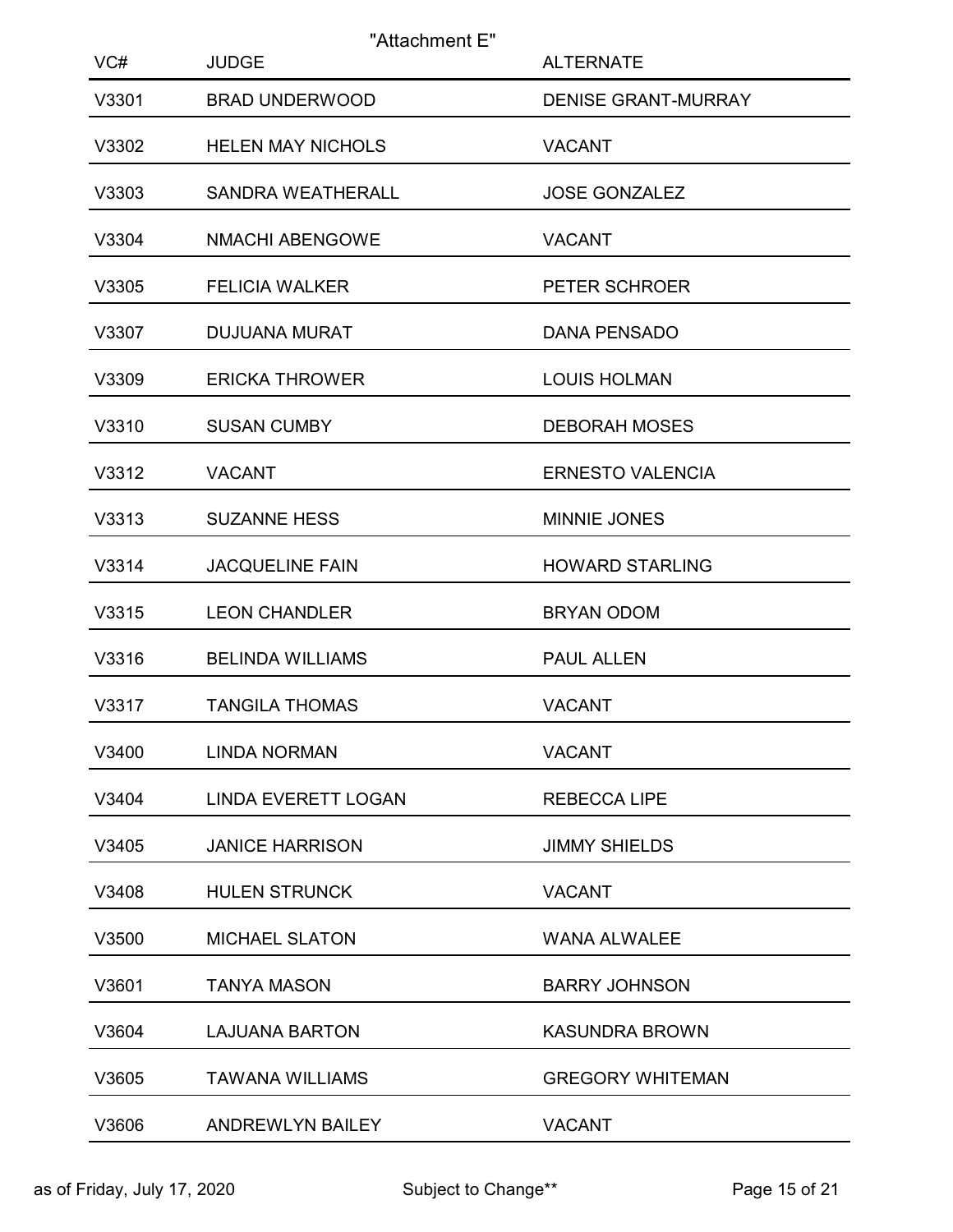| VC#   | "Attachment E"<br><b>JUDGE</b> | <b>ALTERNATE</b>           |
|-------|--------------------------------|----------------------------|
| V3301 | <b>BRAD UNDERWOOD</b>          | <b>DENISE GRANT-MURRAY</b> |
| V3302 | <b>HELEN MAY NICHOLS</b>       | <b>VACANT</b>              |
| V3303 | <b>SANDRA WEATHERALL</b>       | <b>JOSE GONZALEZ</b>       |
| V3304 | <b>NMACHI ABENGOWE</b>         | <b>VACANT</b>              |
| V3305 | <b>FELICIA WALKER</b>          | PETER SCHROER              |
| V3307 | <b>DUJUANA MURAT</b>           | DANA PENSADO               |
| V3309 | <b>ERICKA THROWER</b>          | <b>LOUIS HOLMAN</b>        |
| V3310 | <b>SUSAN CUMBY</b>             | <b>DEBORAH MOSES</b>       |
| V3312 | <b>VACANT</b>                  | <b>ERNESTO VALENCIA</b>    |
| V3313 | <b>SUZANNE HESS</b>            | MINNIE JONES               |
| V3314 | <b>JACQUELINE FAIN</b>         | <b>HOWARD STARLING</b>     |
| V3315 | <b>LEON CHANDLER</b>           | BRYAN ODOM                 |
| V3316 | <b>BELINDA WILLIAMS</b>        | PAUL ALLEN                 |
| V3317 | <b>TANGILA THOMAS</b>          | <b>VACANT</b>              |
| V3400 | <b>LINDA NORMAN</b>            | <b>VACANT</b>              |
| V3404 | <b>LINDA EVERETT LOGAN</b>     | <b>REBECCA LIPE</b>        |
| V3405 | <b>JANICE HARRISON</b>         | <b>JIMMY SHIELDS</b>       |
| V3408 | <b>HULEN STRUNCK</b>           | <b>VACANT</b>              |
| V3500 | <b>MICHAEL SLATON</b>          | <b>WANA ALWALEE</b>        |
| V3601 | <b>TANYA MASON</b>             | <b>BARRY JOHNSON</b>       |
| V3604 | <b>LAJUANA BARTON</b>          | <b>KASUNDRA BROWN</b>      |
| V3605 | <b>TAWANA WILLIAMS</b>         | <b>GREGORY WHITEMAN</b>    |
| V3606 | ANDREWLYN BAILEY               | <b>VACANT</b>              |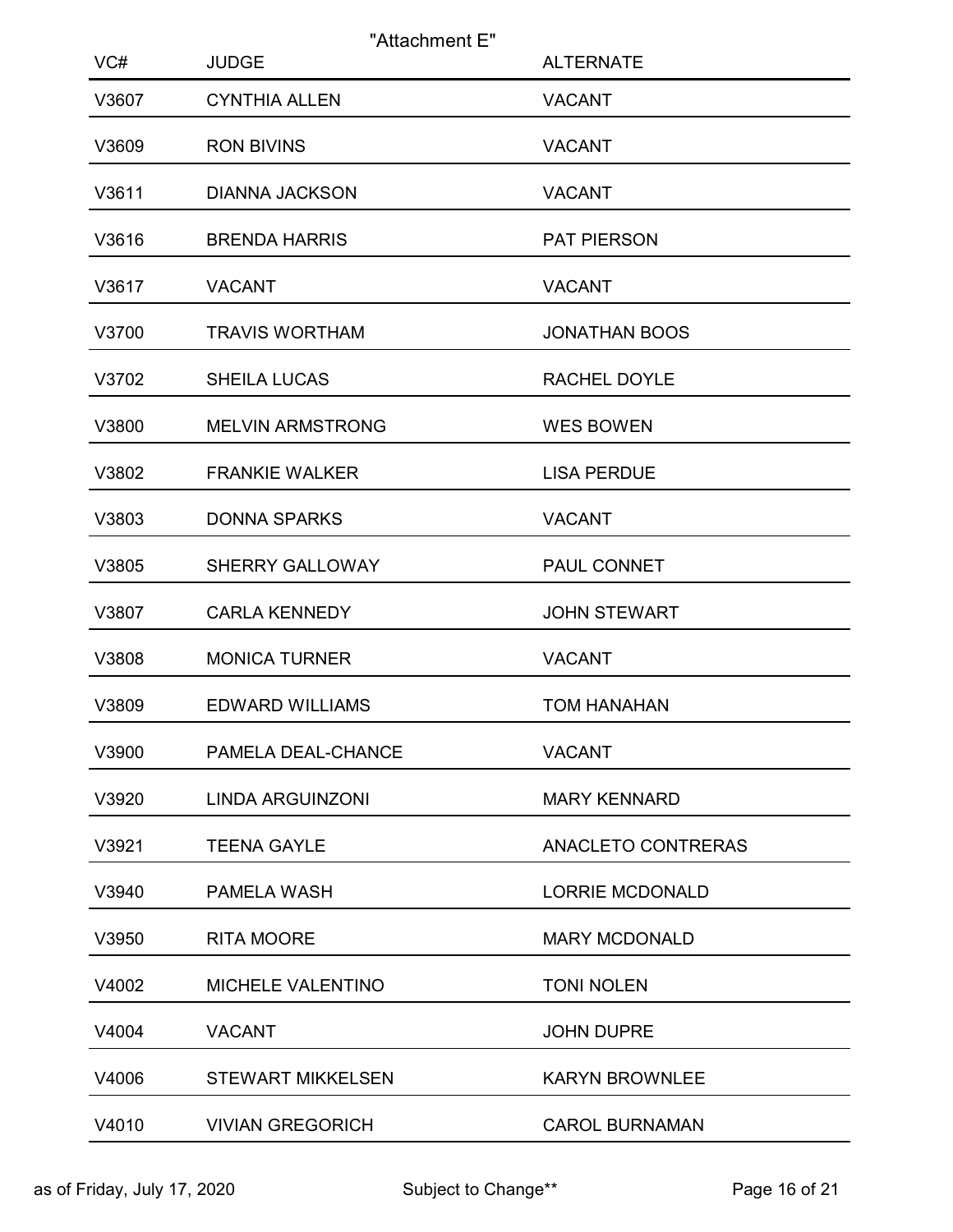| VC#   | <b>JUDGE</b>             | "Attachment E"<br><b>ALTERNATE</b> |
|-------|--------------------------|------------------------------------|
| V3607 | <b>CYNTHIA ALLEN</b>     | <b>VACANT</b>                      |
| V3609 | <b>RON BIVINS</b>        | <b>VACANT</b>                      |
| V3611 | <b>DIANNA JACKSON</b>    | <b>VACANT</b>                      |
| V3616 | <b>BRENDA HARRIS</b>     | PAT PIERSON                        |
| V3617 | <b>VACANT</b>            | <b>VACANT</b>                      |
| V3700 | <b>TRAVIS WORTHAM</b>    | <b>JONATHAN BOOS</b>               |
| V3702 | <b>SHEILA LUCAS</b>      | <b>RACHEL DOYLE</b>                |
| V3800 | <b>MELVIN ARMSTRONG</b>  | <b>WES BOWEN</b>                   |
| V3802 | <b>FRANKIE WALKER</b>    | <b>LISA PERDUE</b>                 |
| V3803 | <b>DONNA SPARKS</b>      | <b>VACANT</b>                      |
| V3805 | <b>SHERRY GALLOWAY</b>   | PAUL CONNET                        |
| V3807 | <b>CARLA KENNEDY</b>     | <b>JOHN STEWART</b>                |
| V3808 | <b>MONICA TURNER</b>     | <b>VACANT</b>                      |
| V3809 | <b>EDWARD WILLIAMS</b>   | <b>TOM HANAHAN</b>                 |
| V3900 | PAMELA DEAL-CHANCE       | <b>VACANT</b>                      |
| V3920 | LINDA ARGUINZONI         | <b>MARY KENNARD</b>                |
| V3921 | <b>TEENA GAYLE</b>       | ANACLETO CONTRERAS                 |
| V3940 | PAMELA WASH              | <b>LORRIE MCDONALD</b>             |
| V3950 | <b>RITA MOORE</b>        | <b>MARY MCDONALD</b>               |
| V4002 | MICHELE VALENTINO        | <b>TONI NOLEN</b>                  |
| V4004 | <b>VACANT</b>            | <b>JOHN DUPRE</b>                  |
| V4006 | <b>STEWART MIKKELSEN</b> | <b>KARYN BROWNLEE</b>              |
| V4010 | <b>VIVIAN GREGORICH</b>  | <b>CAROL BURNAMAN</b>              |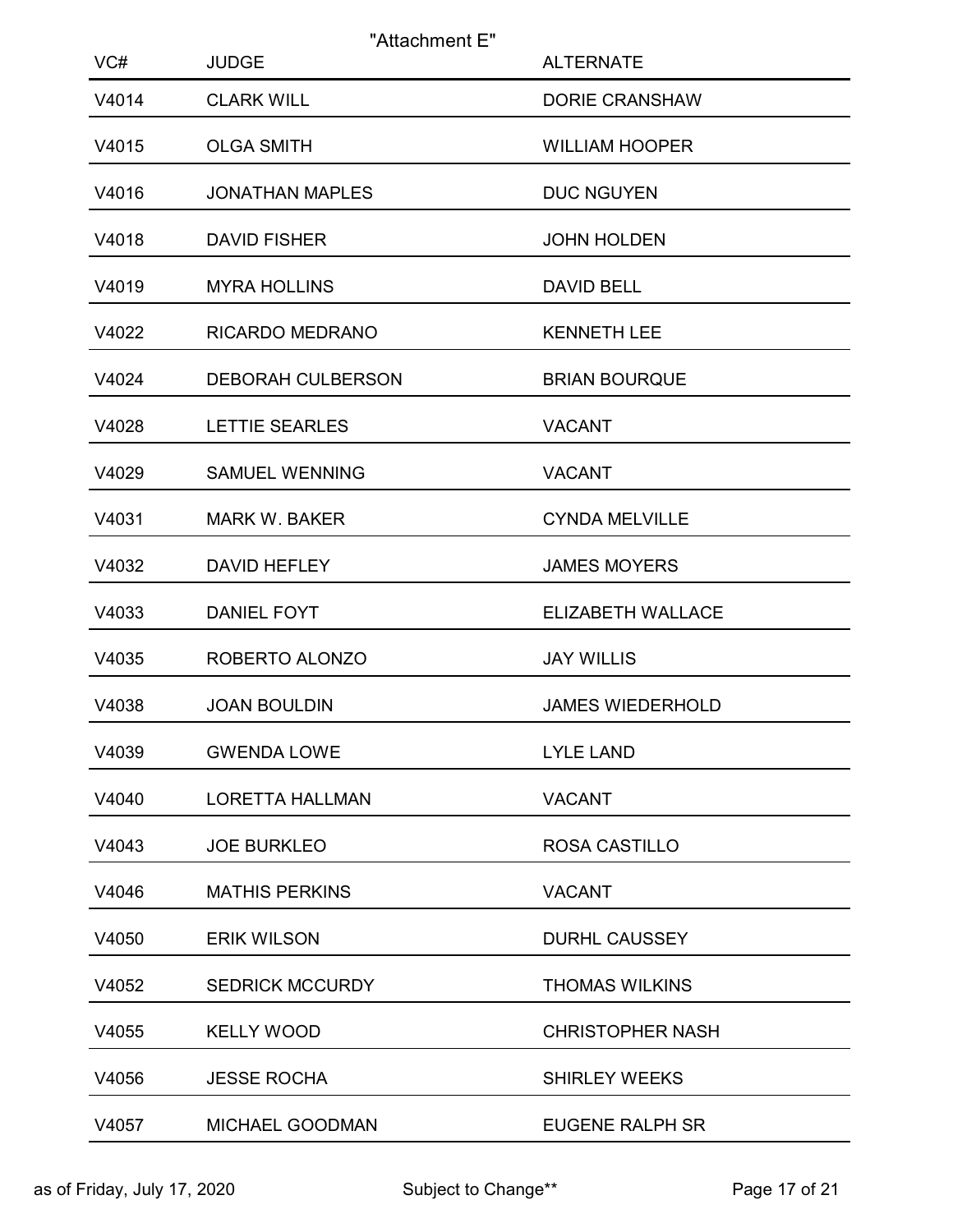|              | "Attachment E"                    |                                           |
|--------------|-----------------------------------|-------------------------------------------|
| VC#<br>V4014 | <b>JUDGE</b><br><b>CLARK WILL</b> | <b>ALTERNATE</b><br><b>DORIE CRANSHAW</b> |
| V4015        | <b>OLGA SMITH</b>                 | <b>WILLIAM HOOPER</b>                     |
| V4016        | <b>JONATHAN MAPLES</b>            | <b>DUC NGUYEN</b>                         |
| V4018        | <b>DAVID FISHER</b>               | <b>JOHN HOLDEN</b>                        |
| V4019        | <b>MYRA HOLLINS</b>               | <b>DAVID BELL</b>                         |
| V4022        | RICARDO MEDRANO                   | <b>KENNETH LEE</b>                        |
| V4024        | <b>DEBORAH CULBERSON</b>          | <b>BRIAN BOURQUE</b>                      |
| V4028        | LETTIE SEARLES                    | <b>VACANT</b>                             |
| V4029        | <b>SAMUEL WENNING</b>             | <b>VACANT</b>                             |
| V4031        | <b>MARK W. BAKER</b>              | <b>CYNDA MELVILLE</b>                     |
| V4032        | DAVID HEFLEY                      | <b>JAMES MOYERS</b>                       |
| V4033        | DANIEL FOYT                       | ELIZABETH WALLACE                         |
| V4035        | ROBERTO ALONZO                    | <b>JAY WILLIS</b>                         |
| V4038        | <b>JOAN BOULDIN</b>               | <b>JAMES WIEDERHOLD</b>                   |
| V4039        | <b>GWENDA LOWE</b>                | <b>LYLE LAND</b>                          |
| V4040        | <b>LORETTA HALLMAN</b>            | <b>VACANT</b>                             |
| V4043        | <b>JOE BURKLEO</b>                | ROSA CASTILLO                             |
| V4046        | <b>MATHIS PERKINS</b>             | <b>VACANT</b>                             |
| V4050        | <b>ERIK WILSON</b>                | <b>DURHL CAUSSEY</b>                      |
| V4052        | <b>SEDRICK MCCURDY</b>            | <b>THOMAS WILKINS</b>                     |
| V4055        | <b>KELLY WOOD</b>                 | <b>CHRISTOPHER NASH</b>                   |
| V4056        | <b>JESSE ROCHA</b>                | <b>SHIRLEY WEEKS</b>                      |
| V4057        | MICHAEL GOODMAN                   | <b>EUGENE RALPH SR</b>                    |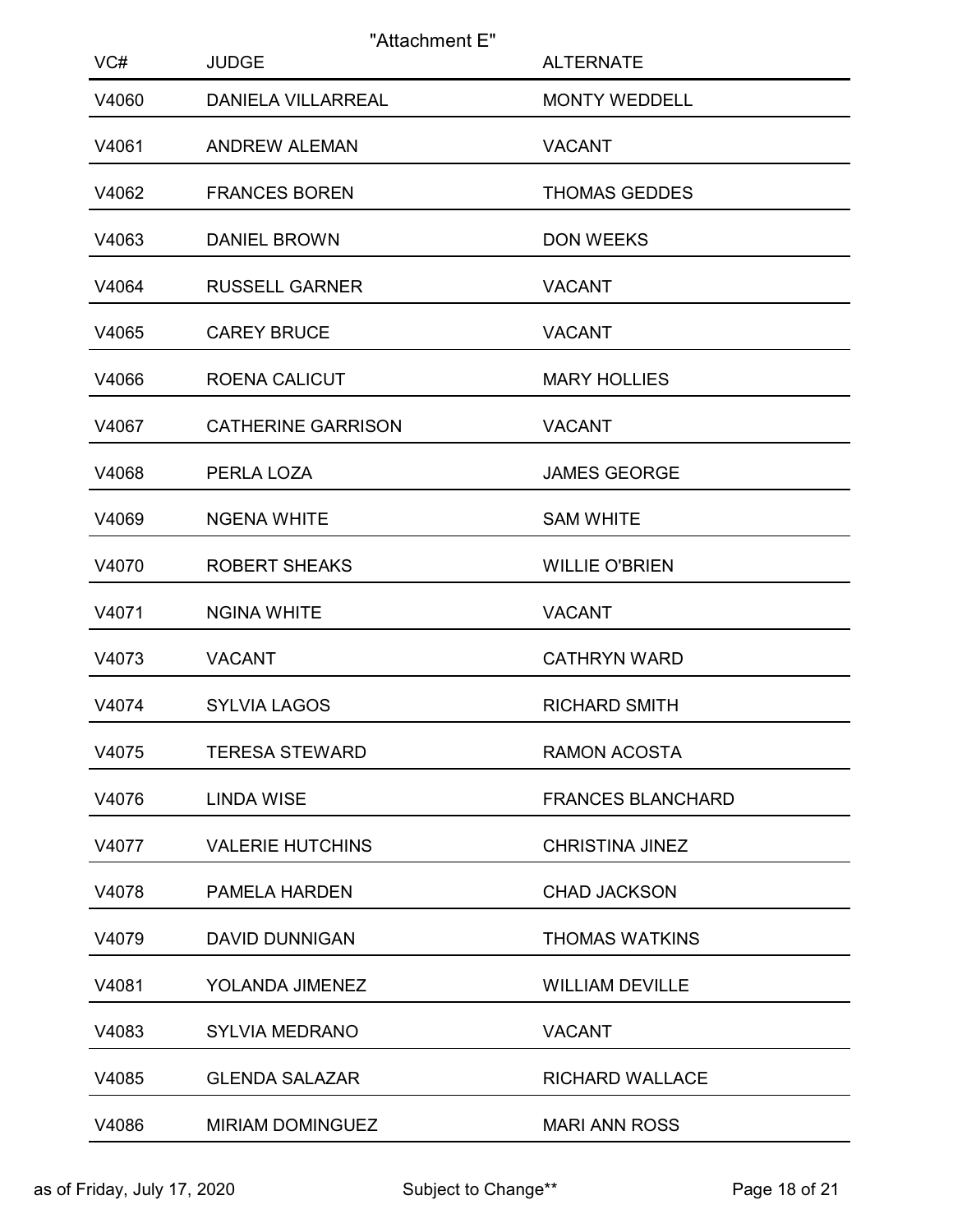|              | "Attachment E"                            |                                          |
|--------------|-------------------------------------------|------------------------------------------|
| VC#<br>V4060 | <b>JUDGE</b><br><b>DANIELA VILLARREAL</b> | <b>ALTERNATE</b><br><b>MONTY WEDDELL</b> |
| V4061        | <b>ANDREW ALEMAN</b>                      | <b>VACANT</b>                            |
| V4062        | <b>FRANCES BOREN</b>                      | <b>THOMAS GEDDES</b>                     |
| V4063        | <b>DANIEL BROWN</b>                       | <b>DON WEEKS</b>                         |
| V4064        | <b>RUSSELL GARNER</b>                     | <b>VACANT</b>                            |
| V4065        | <b>CAREY BRUCE</b>                        | <b>VACANT</b>                            |
| V4066        | <b>ROENA CALICUT</b>                      | <b>MARY HOLLIES</b>                      |
| V4067        | <b>CATHERINE GARRISON</b>                 | <b>VACANT</b>                            |
| V4068        | PERLA LOZA                                | <b>JAMES GEORGE</b>                      |
| V4069        | <b>NGENA WHITE</b>                        | <b>SAM WHITE</b>                         |
| V4070        | <b>ROBERT SHEAKS</b>                      | <b>WILLIE O'BRIEN</b>                    |
| V4071        | <b>NGINA WHITE</b>                        | <b>VACANT</b>                            |
| V4073        | <b>VACANT</b>                             | <b>CATHRYN WARD</b>                      |
| V4074        | <b>SYLVIA LAGOS</b>                       | <b>RICHARD SMITH</b>                     |
| V4075        | <b>TERESA STEWARD</b>                     | RAMON ACOSTA                             |
| V4076        | <b>LINDA WISE</b>                         | <b>FRANCES BLANCHARD</b>                 |
| V4077        | <b>VALERIE HUTCHINS</b>                   | <b>CHRISTINA JINEZ</b>                   |
| V4078        | PAMELA HARDEN                             | <b>CHAD JACKSON</b>                      |
| V4079        | <b>DAVID DUNNIGAN</b>                     | <b>THOMAS WATKINS</b>                    |
| V4081        | YOLANDA JIMENEZ                           | <b>WILLIAM DEVILLE</b>                   |
| V4083        | <b>SYLVIA MEDRANO</b>                     | <b>VACANT</b>                            |
| V4085        | <b>GLENDA SALAZAR</b>                     | RICHARD WALLACE                          |
| V4086        | MIRIAM DOMINGUEZ                          | <b>MARI ANN ROSS</b>                     |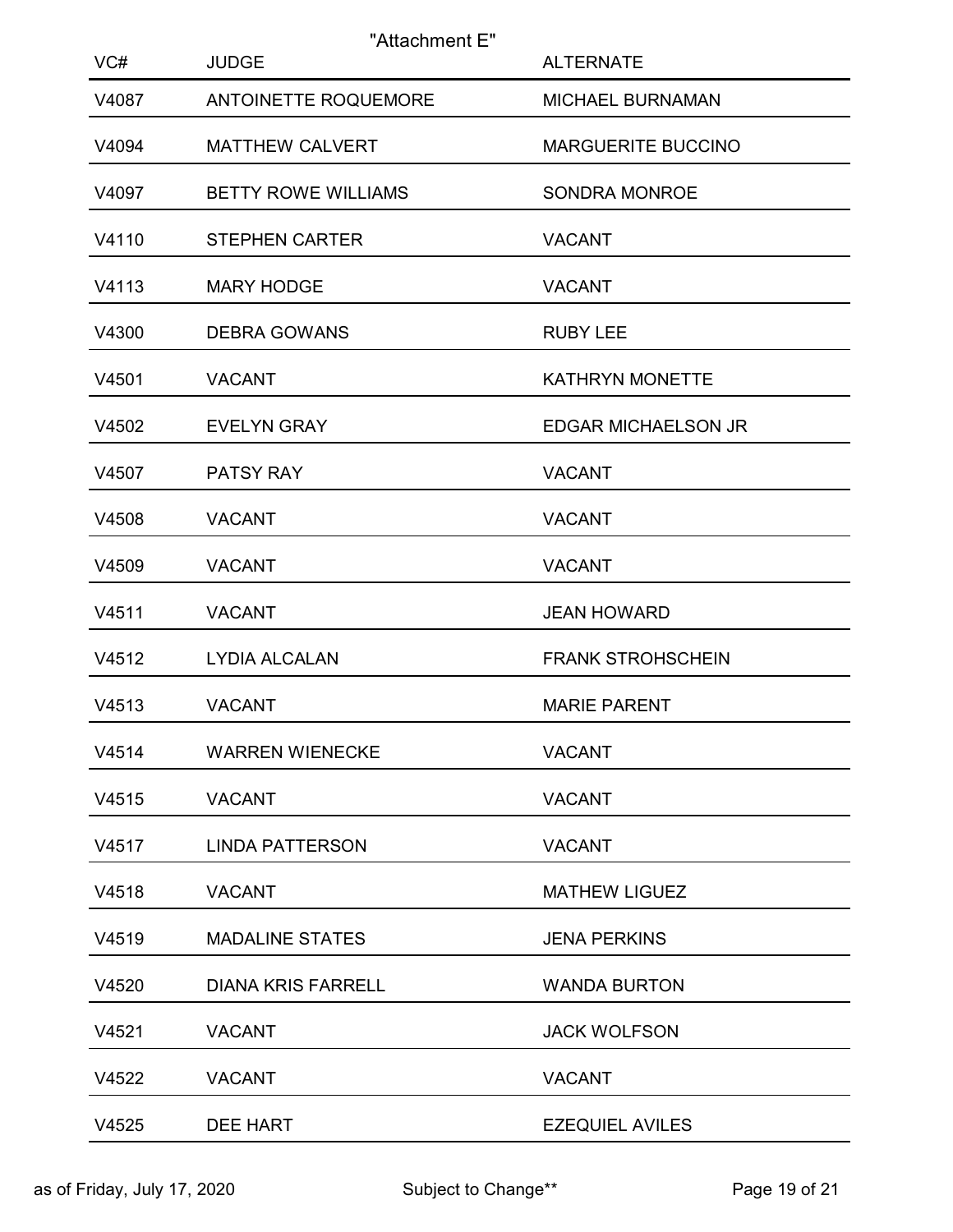| VC#   | "Attachment E"<br><b>JUDGE</b> | <b>ALTERNATE</b>           |
|-------|--------------------------------|----------------------------|
| V4087 | ANTOINETTE ROQUEMORE           | MICHAEL BURNAMAN           |
| V4094 | <b>MATTHEW CALVERT</b>         | <b>MARGUERITE BUCCINO</b>  |
| V4097 | <b>BETTY ROWE WILLIAMS</b>     | SONDRA MONROE              |
| V4110 | <b>STEPHEN CARTER</b>          | <b>VACANT</b>              |
| V4113 | <b>MARY HODGE</b>              | <b>VACANT</b>              |
| V4300 | <b>DEBRA GOWANS</b>            | <b>RUBY LEE</b>            |
| V4501 | <b>VACANT</b>                  | <b>KATHRYN MONETTE</b>     |
| V4502 | <b>EVELYN GRAY</b>             | <b>EDGAR MICHAELSON JR</b> |
| V4507 | PATSY RAY                      | <b>VACANT</b>              |
| V4508 | <b>VACANT</b>                  | <b>VACANT</b>              |
| V4509 | <b>VACANT</b>                  | <b>VACANT</b>              |
| V4511 | <b>VACANT</b>                  | <b>JEAN HOWARD</b>         |
| V4512 | LYDIA ALCALAN                  | <b>FRANK STROHSCHEIN</b>   |
| V4513 | <b>VACANT</b>                  | <b>MARIE PARENT</b>        |
| V4514 | <b>WARREN WIENECKE</b>         | <b>VACANT</b>              |
| V4515 | <b>VACANT</b>                  | <b>VACANT</b>              |
| V4517 | <b>LINDA PATTERSON</b>         | <b>VACANT</b>              |
| V4518 | <b>VACANT</b>                  | <b>MATHEW LIGUEZ</b>       |
| V4519 | <b>MADALINE STATES</b>         | <b>JENA PERKINS</b>        |
| V4520 | <b>DIANA KRIS FARRELL</b>      | <b>WANDA BURTON</b>        |
| V4521 | <b>VACANT</b>                  | <b>JACK WOLFSON</b>        |
| V4522 | <b>VACANT</b>                  | <b>VACANT</b>              |
| V4525 | DEE HART                       | <b>EZEQUIEL AVILES</b>     |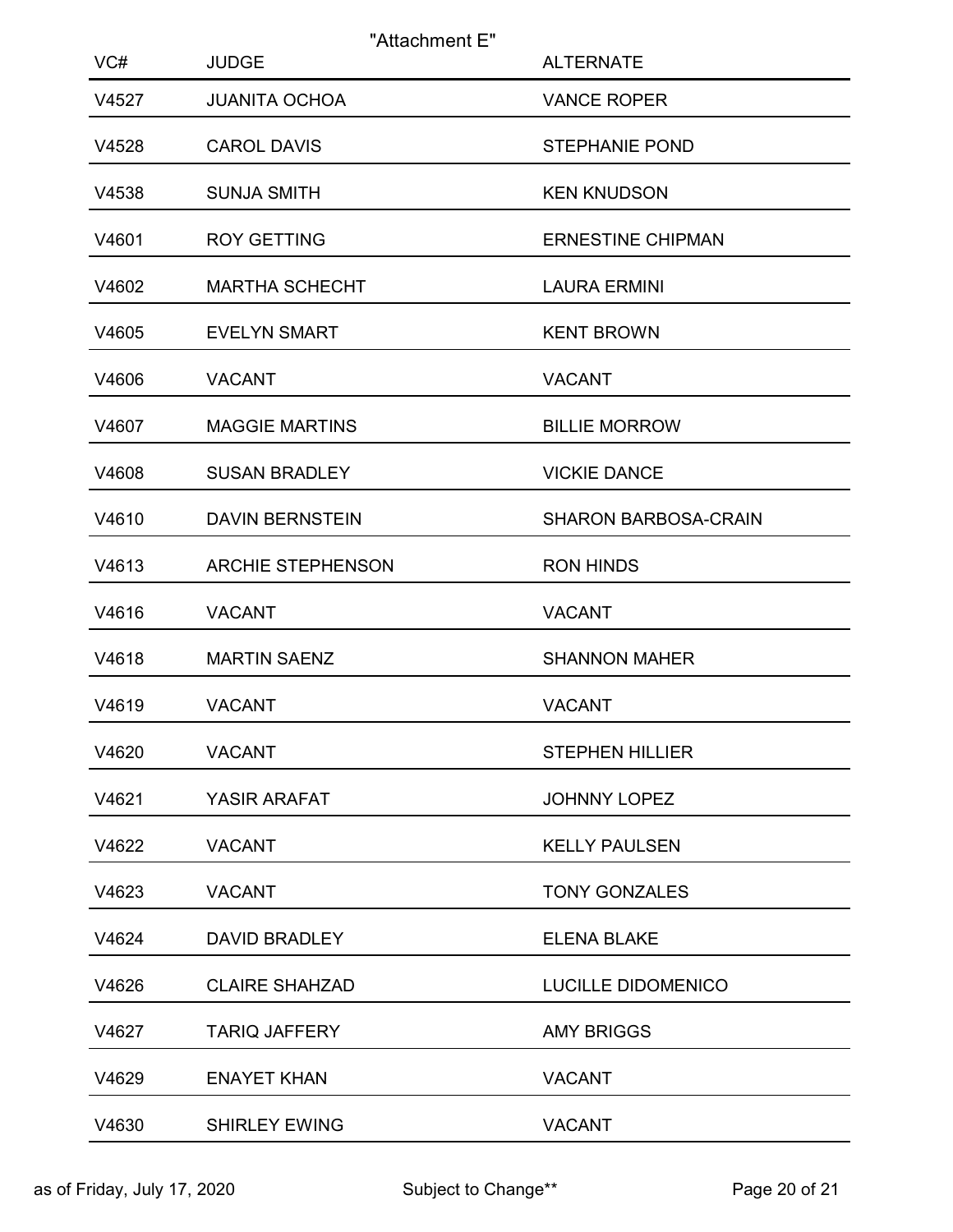| VC#   | "Attachment E"<br><b>JUDGE</b> | <b>ALTERNATE</b>         |
|-------|--------------------------------|--------------------------|
| V4527 | <b>JUANITA OCHOA</b>           | <b>VANCE ROPER</b>       |
| V4528 | <b>CAROL DAVIS</b>             | <b>STEPHANIE POND</b>    |
| V4538 | <b>SUNJA SMITH</b>             | <b>KEN KNUDSON</b>       |
| V4601 | <b>ROY GETTING</b>             | <b>ERNESTINE CHIPMAN</b> |
| V4602 | <b>MARTHA SCHECHT</b>          | <b>LAURA ERMINI</b>      |
| V4605 | <b>EVELYN SMART</b>            | <b>KENT BROWN</b>        |
| V4606 | <b>VACANT</b>                  | <b>VACANT</b>            |
| V4607 | <b>MAGGIE MARTINS</b>          | <b>BILLIE MORROW</b>     |
| V4608 | <b>SUSAN BRADLEY</b>           | <b>VICKIE DANCE</b>      |
| V4610 | <b>DAVIN BERNSTEIN</b>         | SHARON BARBOSA-CRAIN     |
| V4613 | <b>ARCHIE STEPHENSON</b>       | <b>RON HINDS</b>         |
| V4616 | <b>VACANT</b>                  | <b>VACANT</b>            |
| V4618 | <b>MARTIN SAENZ</b>            | <b>SHANNON MAHER</b>     |
| V4619 | <b>VACANT</b>                  | <b>VACANT</b>            |
| V4620 | <b>VACANT</b>                  | <b>STEPHEN HILLIER</b>   |
| V4621 | YASIR ARAFAT                   | JOHNNY LOPEZ             |
| V4622 | <b>VACANT</b>                  | <b>KELLY PAULSEN</b>     |
| V4623 | <b>VACANT</b>                  | <b>TONY GONZALES</b>     |
| V4624 | DAVID BRADLEY                  | <b>ELENA BLAKE</b>       |
| V4626 | <b>CLAIRE SHAHZAD</b>          | LUCILLE DIDOMENICO       |
| V4627 | <b>TARIQ JAFFERY</b>           | <b>AMY BRIGGS</b>        |
| V4629 | <b>ENAYET KHAN</b>             | VACANT                   |
| V4630 | <b>SHIRLEY EWING</b>           | VACANT                   |